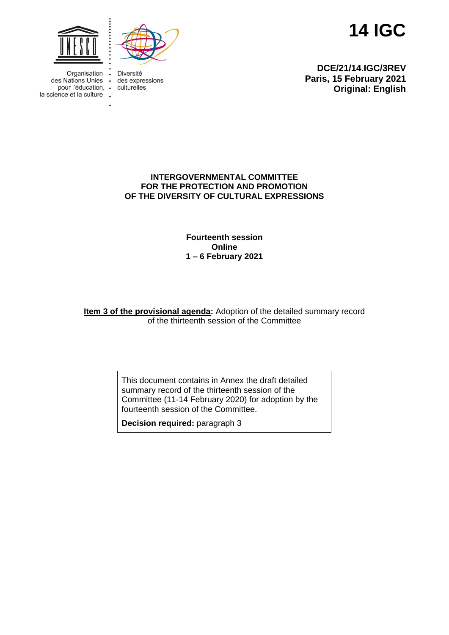



Organisation des Nations Unies . pour l'éducation, . la science et la culture .

Diversité  $\bullet$ des expressions culturelles

**14 IGC**

**DCE/21/14.IGC/3REV Paris, 15 February 2021 Original: English**

## **INTERGOVERNMENTAL COMMITTEE FOR THE PROTECTION AND PROMOTION OF THE DIVERSITY OF CULTURAL EXPRESSIONS**

**Fourteenth session Online 1 – 6 February 2021**

**Item 3 of the provisional agenda:** Adoption of the detailed summary record of the thirteenth session of the Committee

> This document contains in Annex the draft detailed summary record of the thirteenth session of the Committee (11-14 February 2020) for adoption by the fourteenth session of the Committee.

**Decision required:** paragraph 3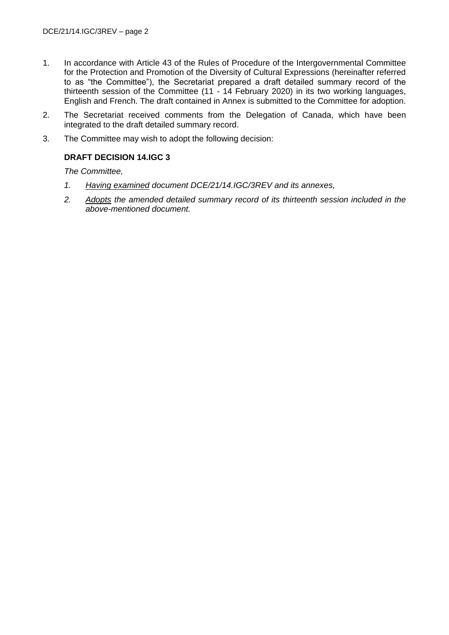- 1. In accordance with Article 43 of the Rules of Procedure of the Intergovernmental Committee for the Protection and Promotion of the Diversity of Cultural Expressions (hereinafter referred to as "the Committee"), the Secretariat prepared a draft detailed summary record of the thirteenth session of the Committee (11 - 14 February 2020) in its two working languages, English and French. The draft contained in Annex is submitted to the Committee for adoption.
- 2. The Secretariat received comments from the Delegation of Canada, which have been integrated to the draft detailed summary record.
- 3. The Committee may wish to adopt the following decision:

# **DRAFT DECISION 14.IGC 3**

*The Committee,*

- *1. Having examined document DCE/21/14.IGC/3REV and its annexes,*
- *2. Adopts the amended detailed summary record of its thirteenth session included in the above-mentioned document.*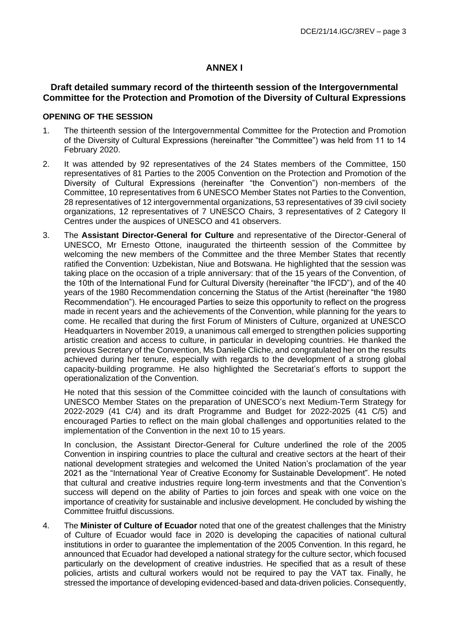## **ANNEX I**

## **Draft detailed summary record of the thirteenth session of the Intergovernmental Committee for the Protection and Promotion of the Diversity of Cultural Expressions**

### **OPENING OF THE SESSION**

- 1. The thirteenth session of the Intergovernmental Committee for the Protection and Promotion of the Diversity of Cultural Expressions (hereinafter "the Committee") was held from 11 to 14 February 2020.
- 2. It was attended by 92 representatives of the 24 States members of the Committee, 150 representatives of 81 Parties to the 2005 Convention on the Protection and Promotion of the Diversity of Cultural Expressions (hereinafter "the Convention") non-members of the Committee, 10 representatives from 6 UNESCO Member States not Parties to the Convention, 28 representatives of 12 intergovernmental organizations, 53 representatives of 39 civil society organizations, 12 representatives of 7 UNESCO Chairs, 3 representatives of 2 Category II Centres under the auspices of UNESCO and 41 observers.
- 3. The **Assistant Director-General for Culture** and representative of the Director-General of UNESCO, Mr Ernesto Ottone, inaugurated the thirteenth session of the Committee by welcoming the new members of the Committee and the three Member States that recently ratified the Convention: Uzbekistan, Niue and Botswana. He highlighted that the session was taking place on the occasion of a triple anniversary: that of the 15 years of the Convention, of the 10th of the International Fund for Cultural Diversity (hereinafter "the IFCD"), and of the 40 years of the 1980 Recommendation concerning the Status of the Artist (hereinafter "the 1980 Recommendation"). He encouraged Parties to seize this opportunity to reflect on the progress made in recent years and the achievements of the Convention, while planning for the years to come. He recalled that during the first Forum of Ministers of Culture, organized at UNESCO Headquarters in November 2019, a unanimous call emerged to strengthen policies supporting artistic creation and access to culture, in particular in developing countries. He thanked the previous Secretary of the Convention, Ms Danielle Cliche, and congratulated her on the results achieved during her tenure, especially with regards to the development of a strong global capacity-building programme. He also highlighted the Secretariat's efforts to support the operationalization of the Convention.

He noted that this session of the Committee coincided with the launch of consultations with UNESCO Member States on the preparation of UNESCO's next Medium-Term Strategy for 2022-2029 (41 C/4) and its draft Programme and Budget for 2022-2025 (41 C/5) and encouraged Parties to reflect on the main global challenges and opportunities related to the implementation of the Convention in the next 10 to 15 years.

In conclusion, the Assistant Director-General for Culture underlined the role of the 2005 Convention in inspiring countries to place the cultural and creative sectors at the heart of their national development strategies and welcomed the United Nation's proclamation of the year 2021 as the "International Year of Creative Economy for Sustainable Development". He noted that cultural and creative industries require long-term investments and that the Convention's success will depend on the ability of Parties to join forces and speak with one voice on the importance of creativity for sustainable and inclusive development. He concluded by wishing the Committee fruitful discussions.

4. The **Minister of Culture of Ecuador** noted that one of the greatest challenges that the Ministry of Culture of Ecuador would face in 2020 is developing the capacities of national cultural institutions in order to guarantee the implementation of the 2005 Convention. In this regard, he announced that Ecuador had developed a national strategy for the culture sector, which focused particularly on the development of creative industries. He specified that as a result of these policies, artists and cultural workers would not be required to pay the VAT tax. Finally, he stressed the importance of developing evidenced-based and data-driven policies. Consequently,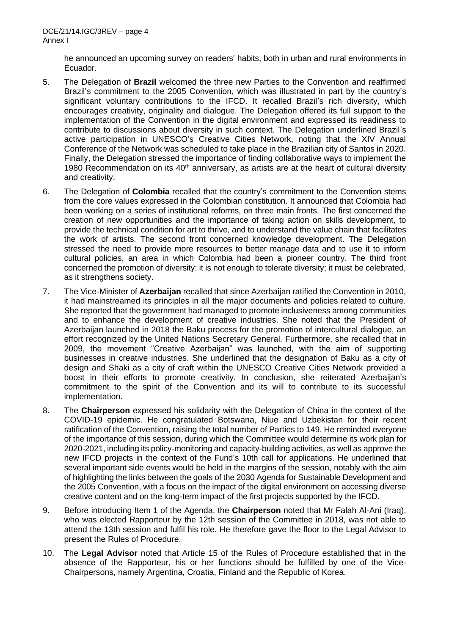he announced an upcoming survey on readers' habits, both in urban and rural environments in Ecuador.

- 5. The Delegation of **Brazil** welcomed the three new Parties to the Convention and reaffirmed Brazil's commitment to the 2005 Convention, which was illustrated in part by the country's significant voluntary contributions to the IFCD. It recalled Brazil's rich diversity, which encourages creativity, originality and dialogue. The Delegation offered its full support to the implementation of the Convention in the digital environment and expressed its readiness to contribute to discussions about diversity in such context. The Delegation underlined Brazil's active participation in UNESCO's Creative Cities Network, noting that the XIV Annual Conference of the Network was scheduled to take place in the Brazilian city of Santos in 2020. Finally, the Delegation stressed the importance of finding collaborative ways to implement the 1980 Recommendation on its  $40<sup>th</sup>$  anniversary, as artists are at the heart of cultural diversity and creativity.
- 6. The Delegation of **Colombia** recalled that the country's commitment to the Convention stems from the core values expressed in the Colombian constitution. It announced that Colombia had been working on a series of institutional reforms, on three main fronts. The first concerned the creation of new opportunities and the importance of taking action on skills development, to provide the technical condition for art to thrive, and to understand the value chain that facilitates the work of artists. The second front concerned knowledge development. The Delegation stressed the need to provide more resources to better manage data and to use it to inform cultural policies, an area in which Colombia had been a pioneer country. The third front concerned the promotion of diversity: it is not enough to tolerate diversity; it must be celebrated, as it strengthens society.
- 7. The Vice-Minister of **Azerbaijan** recalled that since Azerbaijan ratified the Convention in 2010, it had mainstreamed its principles in all the major documents and policies related to culture. She reported that the government had managed to promote inclusiveness among communities and to enhance the development of creative industries. She noted that the President of Azerbaijan launched in 2018 the Baku process for the promotion of intercultural dialogue, an effort recognized by the United Nations Secretary General. Furthermore, she recalled that in 2009, the movement "Creative Azerbaijan" was launched, with the aim of supporting businesses in creative industries. She underlined that the designation of Baku as a city of design and Shaki as a city of craft within the UNESCO Creative Cities Network provided a boost in their efforts to promote creativity. In conclusion, she reiterated Azerbaijan's commitment to the spirit of the Convention and its will to contribute to its successful implementation.
- 8. The **Chairperson** expressed his solidarity with the Delegation of China in the context of the COVID-19 epidemic. He congratulated Botswana, Niue and Uzbekistan for their recent ratification of the Convention, raising the total number of Parties to 149. He reminded everyone of the importance of this session, during which the Committee would determine its work plan for 2020-2021, including its policy-monitoring and capacity-building activities, as well as approve the new IFCD projects in the context of the Fund's 10th call for applications. He underlined that several important side events would be held in the margins of the session, notably with the aim of highlighting the links between the goals of the 2030 Agenda for Sustainable Development and the 2005 Convention, with a focus on the impact of the digital environment on accessing diverse creative content and on the long-term impact of the first projects supported by the IFCD.
- 9. Before introducing Item 1 of the Agenda, the **Chairperson** noted that Mr Falah Al-Ani (Iraq), who was elected Rapporteur by the 12th session of the Committee in 2018, was not able to attend the 13th session and fulfil his role. He therefore gave the floor to the Legal Advisor to present the Rules of Procedure.
- 10. The **Legal Advisor** noted that Article 15 of the Rules of Procedure established that in the absence of the Rapporteur, his or her functions should be fulfilled by one of the Vice-Chairpersons, namely Argentina, Croatia, Finland and the Republic of Korea.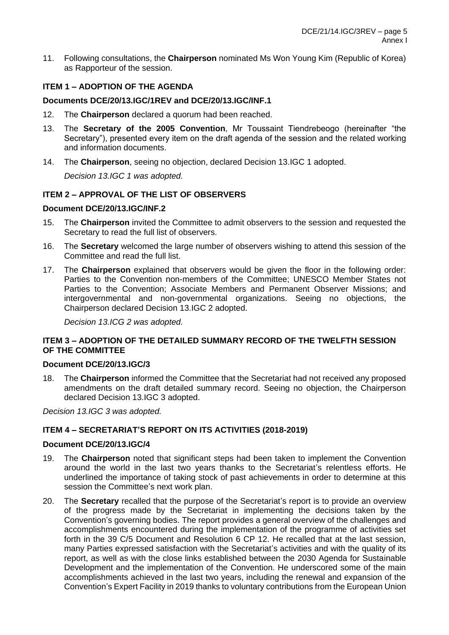11. Following consultations, the **Chairperson** nominated Ms Won Young Kim (Republic of Korea) as Rapporteur of the session.

# **ITEM 1 – ADOPTION OF THE AGENDA**

### **Documents DCE/20/13.IGC/1REV and DCE/20/13.IGC/INF.1**

- 12. The **Chairperson** declared a quorum had been reached.
- 13. The **Secretary of the 2005 Convention**, Mr Toussaint Tiendrebeogo (hereinafter "the Secretary"), presented every item on the draft agenda of the session and the related working and information documents.
- 14. The **Chairperson**, seeing no objection, declared Decision 13.IGC 1 adopted.

*Decision 13.IGC 1 was adopted.*

# **ITEM 2 – APPROVAL OF THE LIST OF OBSERVERS**

## **Document DCE/20/13.IGC/INF.2**

- 15. The **Chairperson** invited the Committee to admit observers to the session and requested the Secretary to read the full list of observers.
- 16. The **Secretary** welcomed the large number of observers wishing to attend this session of the Committee and read the full list.
- 17. The **Chairperson** explained that observers would be given the floor in the following order: Parties to the Convention non-members of the Committee; UNESCO Member States not Parties to the Convention; Associate Members and Permanent Observer Missions; and intergovernmental and non-governmental organizations. Seeing no objections, the Chairperson declared Decision 13.IGC 2 adopted.

*Decision 13.ICG 2 was adopted.*

## **ITEM 3 – ADOPTION OF THE DETAILED SUMMARY RECORD OF THE TWELFTH SESSION OF THE COMMITTEE**

#### **Document DCE/20/13.IGC/3**

18. The **Chairperson** informed the Committee that the Secretariat had not received any proposed amendments on the draft detailed summary record. Seeing no objection, the Chairperson declared Decision 13.IGC 3 adopted.

*Decision 13.IGC 3 was adopted.*

## **ITEM 4 – SECRETARIAT'S REPORT ON ITS ACTIVITIES (2018-2019)**

#### **Document DCE/20/13.IGC/4**

- 19. The **Chairperson** noted that significant steps had been taken to implement the Convention around the world in the last two years thanks to the Secretariat's relentless efforts. He underlined the importance of taking stock of past achievements in order to determine at this session the Committee's next work plan.
- 20. The **Secretary** recalled that the purpose of the Secretariat's report is to provide an overview of the progress made by the Secretariat in implementing the decisions taken by the Convention's governing bodies. The report provides a general overview of the challenges and accomplishments encountered during the implementation of the programme of activities set forth in the 39 C/5 Document and Resolution 6 CP 12. He recalled that at the last session, many Parties expressed satisfaction with the Secretariat's activities and with the quality of its report, as well as with the close links established between the 2030 Agenda for Sustainable Development and the implementation of the Convention. He underscored some of the main accomplishments achieved in the last two years, including the renewal and expansion of the Convention's Expert Facility in 2019 thanks to voluntary contributions from the European Union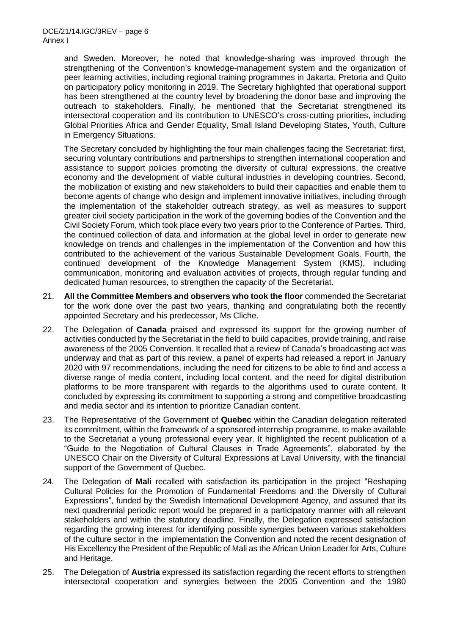and Sweden. Moreover, he noted that knowledge-sharing was improved through the strengthening of the Convention's knowledge-management system and the organization of peer learning activities, including regional training programmes in Jakarta, Pretoria and Quito on participatory policy monitoring in 2019. The Secretary highlighted that operational support has been strengthened at the country level by broadening the donor base and improving the outreach to stakeholders. Finally, he mentioned that the Secretariat strengthened its intersectoral cooperation and its contribution to UNESCO's cross-cutting priorities, including Global Priorities Africa and Gender Equality, Small Island Developing States, Youth, Culture in Emergency Situations.

The Secretary concluded by highlighting the four main challenges facing the Secretariat: first, securing voluntary contributions and partnerships to strengthen international cooperation and assistance to support policies promoting the diversity of cultural expressions, the creative economy and the development of viable cultural industries in developing countries. Second, the mobilization of existing and new stakeholders to build their capacities and enable them to become agents of change who design and implement innovative initiatives, including through the implementation of the stakeholder outreach strategy, as well as measures to support greater civil society participation in the work of the governing bodies of the Convention and the Civil Society Forum, which took place every two years prior to the Conference of Parties. Third, the continued collection of data and information at the global level in order to generate new knowledge on trends and challenges in the implementation of the Convention and how this contributed to the achievement of the various Sustainable Development Goals. Fourth, the continued development of the Knowledge Management System (KMS), including communication, monitoring and evaluation activities of projects, through regular funding and dedicated human resources, to strengthen the capacity of the Secretariat.

- 21. **All the Committee Members and observers who took the floor** commended the Secretariat for the work done over the past two years, thanking and congratulating both the recently appointed Secretary and his predecessor, Ms Cliche.
- 22. The Delegation of **Canada** praised and expressed its support for the growing number of activities conducted by the Secretariat in the field to build capacities, provide training, and raise awareness of the 2005 Convention. It recalled that a review of Canada's broadcasting act was underway and that as part of this review, a panel of experts had released a report in January 2020 with 97 recommendations, including the need for citizens to be able to find and access a diverse range of media content, including local content, and the need for digital distribution platforms to be more transparent with regards to the algorithms used to curate content. It concluded by expressing its commitment to supporting a strong and competitive broadcasting and media sector and its intention to prioritize Canadian content.
- 23. The Representative of the Government of **Quebec** within the Canadian delegation reiterated its commitment, within the framework of a sponsored internship programme, to make available to the Secretariat a young professional every year. It highlighted the recent publication of a "Guide to the Negotiation of Cultural Clauses in Trade Agreements", elaborated by the UNESCO Chair on the Diversity of Cultural Expressions at Laval University, with the financial support of the Government of Quebec.
- 24. The Delegation of **Mali** recalled with satisfaction its participation in the project "Reshaping Cultural Policies for the Promotion of Fundamental Freedoms and the Diversity of Cultural Expressions", funded by the Swedish International Development Agency, and assured that its next quadrennial periodic report would be prepared in a participatory manner with all relevant stakeholders and within the statutory deadline. Finally, the Delegation expressed satisfaction regarding the growing interest for identifying possible synergies between various stakeholders of the culture sector in the implementation the Convention and noted the recent designation of His Excellency the President of the Republic of Mali as the African Union Leader for Arts, Culture and Heritage.
- 25. The Delegation of **Austria** expressed its satisfaction regarding the recent efforts to strengthen intersectoral cooperation and synergies between the 2005 Convention and the 1980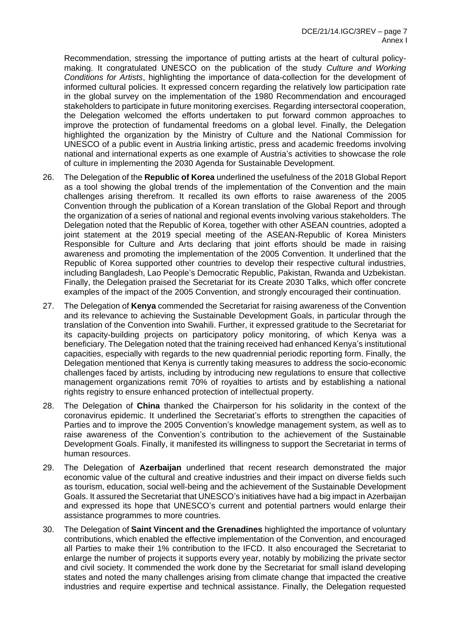Recommendation, stressing the importance of putting artists at the heart of cultural policymaking. It congratulated UNESCO on the publication of the study *Culture and Working Conditions for Artists*, highlighting the importance of data-collection for the development of informed cultural policies. It expressed concern regarding the relatively low participation rate in the global survey on the implementation of the 1980 Recommendation and encouraged stakeholders to participate in future monitoring exercises. Regarding intersectoral cooperation, the Delegation welcomed the efforts undertaken to put forward common approaches to improve the protection of fundamental freedoms on a global level. Finally, the Delegation highlighted the organization by the Ministry of Culture and the National Commission for UNESCO of a public event in Austria linking artistic, press and academic freedoms involving national and international experts as one example of Austria's activities to showcase the role of culture in implementing the 2030 Agenda for Sustainable Development.

- 26. The Delegation of the **Republic of Korea** underlined the usefulness of the 2018 Global Report as a tool showing the global trends of the implementation of the Convention and the main challenges arising therefrom. It recalled its own efforts to raise awareness of the 2005 Convention through the publication of a Korean translation of the Global Report and through the organization of a series of national and regional events involving various stakeholders. The Delegation noted that the Republic of Korea, together with other ASEAN countries, adopted a joint statement at the 2019 special meeting of the ASEAN-Republic of Korea Ministers Responsible for Culture and Arts declaring that joint efforts should be made in raising awareness and promoting the implementation of the 2005 Convention. It underlined that the Republic of Korea supported other countries to develop their respective cultural industries, including Bangladesh, Lao People's Democratic Republic, Pakistan, Rwanda and Uzbekistan. Finally, the Delegation praised the Secretariat for its Create 2030 Talks, which offer concrete examples of the impact of the 2005 Convention, and strongly encouraged their continuation.
- 27. The Delegation of **Kenya** commended the Secretariat for raising awareness of the Convention and its relevance to achieving the Sustainable Development Goals, in particular through the translation of the Convention into Swahili. Further, it expressed gratitude to the Secretariat for its capacity-building projects on participatory policy monitoring, of which Kenya was a beneficiary. The Delegation noted that the training received had enhanced Kenya's institutional capacities, especially with regards to the new quadrennial periodic reporting form. Finally, the Delegation mentioned that Kenya is currently taking measures to address the socio-economic challenges faced by artists, including by introducing new regulations to ensure that collective management organizations remit 70% of royalties to artists and by establishing a national rights registry to ensure enhanced protection of intellectual property.
- 28. The Delegation of **China** thanked the Chairperson for his solidarity in the context of the coronavirus epidemic. It underlined the Secretariat's efforts to strengthen the capacities of Parties and to improve the 2005 Convention's knowledge management system, as well as to raise awareness of the Convention's contribution to the achievement of the Sustainable Development Goals. Finally, it manifested its willingness to support the Secretariat in terms of human resources.
- 29. The Delegation of **Azerbaijan** underlined that recent research demonstrated the major economic value of the cultural and creative industries and their impact on diverse fields such as tourism, education, social well-being and the achievement of the Sustainable Development Goals. It assured the Secretariat that UNESCO's initiatives have had a big impact in Azerbaijan and expressed its hope that UNESCO's current and potential partners would enlarge their assistance programmes to more countries.
- 30. The Delegation of **Saint Vincent and the Grenadines** highlighted the importance of voluntary contributions, which enabled the effective implementation of the Convention, and encouraged all Parties to make their 1% contribution to the IFCD. It also encouraged the Secretariat to enlarge the number of projects it supports every year, notably by mobilizing the private sector and civil society. It commended the work done by the Secretariat for small island developing states and noted the many challenges arising from climate change that impacted the creative industries and require expertise and technical assistance. Finally, the Delegation requested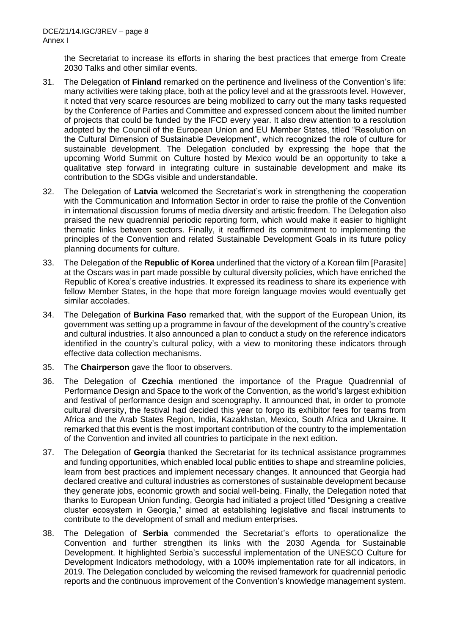the Secretariat to increase its efforts in sharing the best practices that emerge from Create 2030 Talks and other similar events.

- 31. The Delegation of **Finland** remarked on the pertinence and liveliness of the Convention's life: many activities were taking place, both at the policy level and at the grassroots level. However, it noted that very scarce resources are being mobilized to carry out the many tasks requested by the Conference of Parties and Committee and expressed concern about the limited number of projects that could be funded by the IFCD every year. It also drew attention to a resolution adopted by the Council of the European Union and EU Member States, titled "Resolution on the Cultural Dimension of Sustainable Development", which recognized the role of culture for sustainable development. The Delegation concluded by expressing the hope that the upcoming World Summit on Culture hosted by Mexico would be an opportunity to take a qualitative step forward in integrating culture in sustainable development and make its contribution to the SDGs visible and understandable.
- 32. The Delegation of **Latvia** welcomed the Secretariat's work in strengthening the cooperation with the Communication and Information Sector in order to raise the profile of the Convention in international discussion forums of media diversity and artistic freedom. The Delegation also praised the new quadrennial periodic reporting form, which would make it easier to highlight thematic links between sectors. Finally, it reaffirmed its commitment to implementing the principles of the Convention and related Sustainable Development Goals in its future policy planning documents for culture.
- 33. The Delegation of the **Republic of Korea** underlined that the victory of a Korean film [Parasite] at the Oscars was in part made possible by cultural diversity policies, which have enriched the Republic of Korea's creative industries. It expressed its readiness to share its experience with fellow Member States, in the hope that more foreign language movies would eventually get similar accolades.
- 34. The Delegation of **Burkina Faso** remarked that, with the support of the European Union, its government was setting up a programme in favour of the development of the country's creative and cultural industries. It also announced a plan to conduct a study on the reference indicators identified in the country's cultural policy, with a view to monitoring these indicators through effective data collection mechanisms.
- 35. The **Chairperson** gave the floor to observers.
- 36. The Delegation of **Czechia** mentioned the importance of the Prague Quadrennial of Performance Design and Space to the work of the Convention, as the world's largest exhibition and festival of performance design and scenography. It announced that, in order to promote cultural diversity, the festival had decided this year to forgo its exhibitor fees for teams from Africa and the Arab States Region, India, Kazakhstan, Mexico, South Africa and Ukraine. It remarked that this event is the most important contribution of the country to the implementation of the Convention and invited all countries to participate in the next edition.
- 37. The Delegation of **Georgia** thanked the Secretariat for its technical assistance programmes and funding opportunities, which enabled local public entities to shape and streamline policies, learn from best practices and implement necessary changes. It announced that Georgia had declared creative and cultural industries as cornerstones of sustainable development because they generate jobs, economic growth and social well-being. Finally, the Delegation noted that thanks to European Union funding, Georgia had initiated a project titled "Designing a creative cluster ecosystem in Georgia," aimed at establishing legislative and fiscal instruments to contribute to the development of small and medium enterprises.
- 38. The Delegation of **Serbia** commended the Secretariat's efforts to operationalize the Convention and further strengthen its links with the 2030 Agenda for Sustainable Development. It highlighted Serbia's successful implementation of the UNESCO Culture for Development Indicators methodology, with a 100% implementation rate for all indicators, in 2019. The Delegation concluded by welcoming the revised framework for quadrennial periodic reports and the continuous improvement of the Convention's knowledge management system.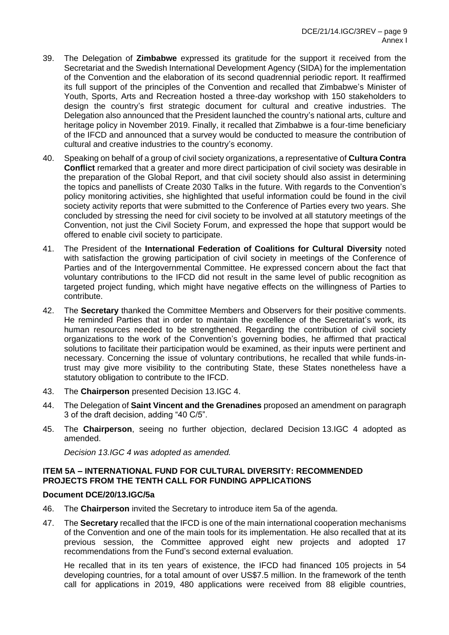- 39. The Delegation of **Zimbabwe** expressed its gratitude for the support it received from the Secretariat and the Swedish International Development Agency (SIDA) for the implementation of the Convention and the elaboration of its second quadrennial periodic report. It reaffirmed its full support of the principles of the Convention and recalled that Zimbabwe's Minister of Youth, Sports, Arts and Recreation hosted a three-day workshop with 150 stakeholders to design the country's first strategic document for cultural and creative industries. The Delegation also announced that the President launched the country's national arts, culture and heritage policy in November 2019. Finally, it recalled that Zimbabwe is a four-time beneficiary of the IFCD and announced that a survey would be conducted to measure the contribution of cultural and creative industries to the country's economy.
- 40. Speaking on behalf of a group of civil society organizations, a representative of **Cultura Contra Conflict** remarked that a greater and more direct participation of civil society was desirable in the preparation of the Global Report, and that civil society should also assist in determining the topics and panellists of Create 2030 Talks in the future. With regards to the Convention's policy monitoring activities, she highlighted that useful information could be found in the civil society activity reports that were submitted to the Conference of Parties every two years. She concluded by stressing the need for civil society to be involved at all statutory meetings of the Convention, not just the Civil Society Forum, and expressed the hope that support would be offered to enable civil society to participate.
- 41. The President of the **International Federation of Coalitions for Cultural Diversity** noted with satisfaction the growing participation of civil society in meetings of the Conference of Parties and of the Intergovernmental Committee. He expressed concern about the fact that voluntary contributions to the IFCD did not result in the same level of public recognition as targeted project funding, which might have negative effects on the willingness of Parties to contribute.
- 42. The **Secretary** thanked the Committee Members and Observers for their positive comments. He reminded Parties that in order to maintain the excellence of the Secretariat's work, its human resources needed to be strengthened. Regarding the contribution of civil society organizations to the work of the Convention's governing bodies, he affirmed that practical solutions to facilitate their participation would be examined, as their inputs were pertinent and necessary. Concerning the issue of voluntary contributions, he recalled that while funds-intrust may give more visibility to the contributing State, these States nonetheless have a statutory obligation to contribute to the IFCD.
- 43. The **Chairperson** presented Decision 13.IGC 4.
- 44. The Delegation of **Saint Vincent and the Grenadines** proposed an amendment on paragraph 3 of the draft decision, adding "40 C/5".
- 45. The **Chairperson**, seeing no further objection, declared Decision 13.IGC 4 adopted as amended.

*Decision 13.IGC 4 was adopted as amended.* 

## **ITEM 5A – INTERNATIONAL FUND FOR CULTURAL DIVERSITY: RECOMMENDED PROJECTS FROM THE TENTH CALL FOR FUNDING APPLICATIONS**

## **Document DCE/20/13.IGC/5a**

- 46. The **Chairperson** invited the Secretary to introduce item 5a of the agenda.
- 47. The **Secretary** recalled that the IFCD is one of the main international cooperation mechanisms of the Convention and one of the main tools for its implementation. He also recalled that at its previous session, the Committee approved eight new projects and adopted 17 recommendations from the Fund's second external evaluation.

He recalled that in its ten years of existence, the IFCD had financed 105 projects in 54 developing countries, for a total amount of over US\$7.5 million. In the framework of the tenth call for applications in 2019, 480 applications were received from 88 eligible countries,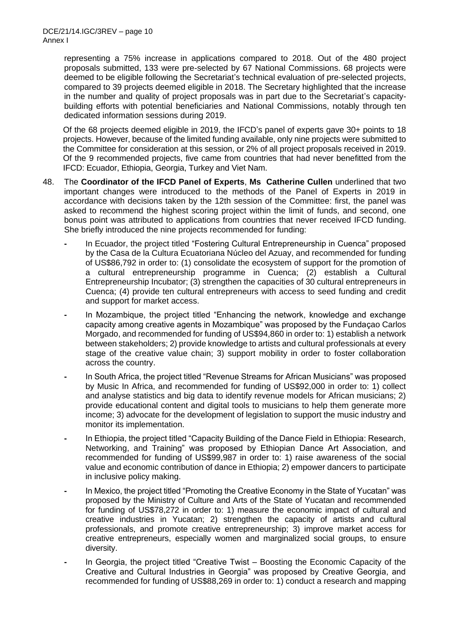representing a 75% increase in applications compared to 2018. Out of the 480 project proposals submitted, 133 were pre-selected by 67 National Commissions. 68 projects were deemed to be eligible following the Secretariat's technical evaluation of pre-selected projects, compared to 39 projects deemed eligible in 2018. The Secretary highlighted that the increase in the number and quality of project proposals was in part due to the Secretariat's capacitybuilding efforts with potential beneficiaries and National Commissions, notably through ten dedicated information sessions during 2019.

Of the 68 projects deemed eligible in 2019, the IFCD's panel of experts gave 30+ points to 18 projects. However, because of the limited funding available, only nine projects were submitted to the Committee for consideration at this session, or 2% of all project proposals received in 2019. Of the 9 recommended projects, five came from countries that had never benefitted from the IFCD: Ecuador, Ethiopia, Georgia, Turkey and Viet Nam.

- 48. The **Coordinator of the IFCD Panel of Experts**, **Ms Catherine Cullen** underlined that two important changes were introduced to the methods of the Panel of Experts in 2019 in accordance with decisions taken by the 12th session of the Committee: first, the panel was asked to recommend the highest scoring project within the limit of funds, and second, one bonus point was attributed to applications from countries that never received IFCD funding. She briefly introduced the nine projects recommended for funding:
	- **-** In Ecuador, the project titled "Fostering Cultural Entrepreneurship in Cuenca" proposed by the Casa de la Cultura Ecuatoriana Núcleo del Azuay, and recommended for funding of US\$86,792 in order to: (1) consolidate the ecosystem of support for the promotion of a cultural entrepreneurship programme in Cuenca; (2) establish a Cultural Entrepreneurship Incubator; (3) strengthen the capacities of 30 cultural entrepreneurs in Cuenca; (4) provide ten cultural entrepreneurs with access to seed funding and credit and support for market access.
	- **-** In Mozambique, the project titled "Enhancing the network, knowledge and exchange capacity among creative agents in Mozambique" was proposed by the Fundaçao Carlos Morgado, and recommended for funding of US\$94,860 in order to: 1) establish a network between stakeholders; 2) provide knowledge to artists and cultural professionals at every stage of the creative value chain; 3) support mobility in order to foster collaboration across the country.
	- **-** In South Africa, the project titled "Revenue Streams for African Musicians" was proposed by Music In Africa, and recommended for funding of US\$92,000 in order to: 1) collect and analyse statistics and big data to identify revenue models for African musicians; 2) provide educational content and digital tools to musicians to help them generate more income; 3) advocate for the development of legislation to support the music industry and monitor its implementation.
	- **-** In Ethiopia, the project titled "Capacity Building of the Dance Field in Ethiopia: Research, Networking, and Training" was proposed by Ethiopian Dance Art Association, and recommended for funding of US\$99,987 in order to: 1) raise awareness of the social value and economic contribution of dance in Ethiopia; 2) empower dancers to participate in inclusive policy making.
	- **-** In Mexico, the project titled "Promoting the Creative Economy in the State of Yucatan" was proposed by the Ministry of Culture and Arts of the State of Yucatan and recommended for funding of US\$78,272 in order to: 1) measure the economic impact of cultural and creative industries in Yucatan; 2) strengthen the capacity of artists and cultural professionals, and promote creative entrepreneurship; 3) improve market access for creative entrepreneurs, especially women and marginalized social groups, to ensure diversity.
	- **-** In Georgia, the project titled "Creative Twist Boosting the Economic Capacity of the Creative and Cultural Industries in Georgia" was proposed by Creative Georgia, and recommended for funding of US\$88,269 in order to: 1) conduct a research and mapping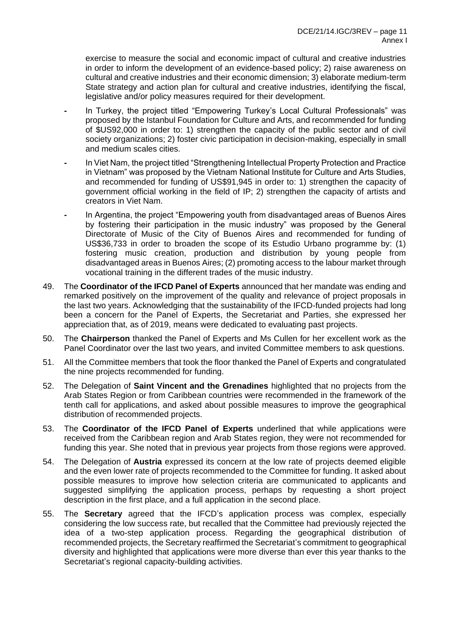exercise to measure the social and economic impact of cultural and creative industries in order to inform the development of an evidence-based policy; 2) raise awareness on cultural and creative industries and their economic dimension; 3) elaborate medium-term State strategy and action plan for cultural and creative industries, identifying the fiscal, legislative and/or policy measures required for their development.

- **-** In Turkey, the project titled "Empowering Turkey's Local Cultural Professionals" was proposed by the Istanbul Foundation for Culture and Arts, and recommended for funding of \$US92,000 in order to: 1) strengthen the capacity of the public sector and of civil society organizations; 2) foster civic participation in decision-making, especially in small and medium scales cities.
- **-** In Viet Nam, the project titled "Strengthening Intellectual Property Protection and Practice in Vietnam" was proposed by the Vietnam National Institute for Culture and Arts Studies, and recommended for funding of US\$91,945 in order to: 1) strengthen the capacity of government official working in the field of IP; 2) strengthen the capacity of artists and creators in Viet Nam.
- **-** In Argentina, the project "Empowering youth from disadvantaged areas of Buenos Aires by fostering their participation in the music industry" was proposed by the General Directorate of Music of the City of Buenos Aires and recommended for funding of US\$36,733 in order to broaden the scope of its Estudio Urbano programme by: (1) fostering music creation, production and distribution by young people from disadvantaged areas in Buenos Aires; (2) promoting access to the labour market through vocational training in the different trades of the music industry.
- 49. The **Coordinator of the IFCD Panel of Experts** announced that her mandate was ending and remarked positively on the improvement of the quality and relevance of project proposals in the last two years. Acknowledging that the sustainability of the IFCD-funded projects had long been a concern for the Panel of Experts, the Secretariat and Parties, she expressed her appreciation that, as of 2019, means were dedicated to evaluating past projects.
- 50. The **Chairperson** thanked the Panel of Experts and Ms Cullen for her excellent work as the Panel Coordinator over the last two years, and invited Committee members to ask questions.
- 51. All the Committee members that took the floor thanked the Panel of Experts and congratulated the nine projects recommended for funding.
- 52. The Delegation of **Saint Vincent and the Grenadines** highlighted that no projects from the Arab States Region or from Caribbean countries were recommended in the framework of the tenth call for applications, and asked about possible measures to improve the geographical distribution of recommended projects.
- 53. The **Coordinator of the IFCD Panel of Experts** underlined that while applications were received from the Caribbean region and Arab States region, they were not recommended for funding this year. She noted that in previous year projects from those regions were approved.
- 54. The Delegation of **Austria** expressed its concern at the low rate of projects deemed eligible and the even lower rate of projects recommended to the Committee for funding. It asked about possible measures to improve how selection criteria are communicated to applicants and suggested simplifying the application process, perhaps by requesting a short project description in the first place, and a full application in the second place.
- 55. The **Secretary** agreed that the IFCD's application process was complex, especially considering the low success rate, but recalled that the Committee had previously rejected the idea of a two-step application process. Regarding the geographical distribution of recommended projects, the Secretary reaffirmed the Secretariat's commitment to geographical diversity and highlighted that applications were more diverse than ever this year thanks to the Secretariat's regional capacity-building activities.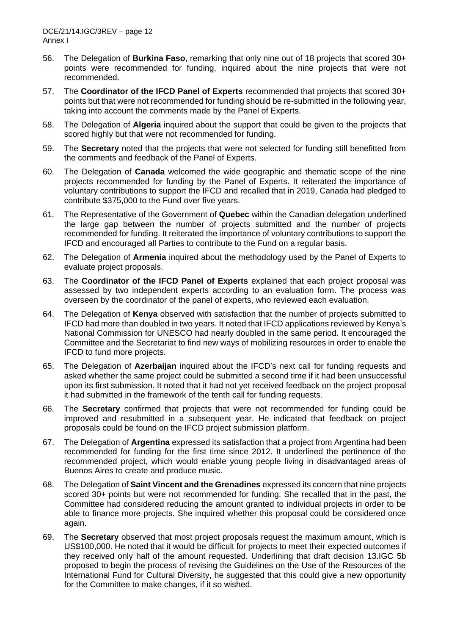- 56. The Delegation of **Burkina Faso**, remarking that only nine out of 18 projects that scored 30+ points were recommended for funding, inquired about the nine projects that were not recommended.
- 57. The **Coordinator of the IFCD Panel of Experts** recommended that projects that scored 30+ points but that were not recommended for funding should be re-submitted in the following year, taking into account the comments made by the Panel of Experts.
- 58. The Delegation of **Algeria** inquired about the support that could be given to the projects that scored highly but that were not recommended for funding.
- 59. The **Secretary** noted that the projects that were not selected for funding still benefitted from the comments and feedback of the Panel of Experts.
- 60. The Delegation of **Canada** welcomed the wide geographic and thematic scope of the nine projects recommended for funding by the Panel of Experts. It reiterated the importance of voluntary contributions to support the IFCD and recalled that in 2019, Canada had pledged to contribute \$375,000 to the Fund over five years.
- 61. The Representative of the Government of **Quebec** within the Canadian delegation underlined the large gap between the number of projects submitted and the number of projects recommended for funding. It reiterated the importance of voluntary contributions to support the IFCD and encouraged all Parties to contribute to the Fund on a regular basis.
- 62. The Delegation of **Armenia** inquired about the methodology used by the Panel of Experts to evaluate project proposals.
- 63. The **Coordinator of the IFCD Panel of Experts** explained that each project proposal was assessed by two independent experts according to an evaluation form. The process was overseen by the coordinator of the panel of experts, who reviewed each evaluation.
- 64. The Delegation of **Kenya** observed with satisfaction that the number of projects submitted to IFCD had more than doubled in two years. It noted that IFCD applications reviewed by Kenya's National Commission for UNESCO had nearly doubled in the same period. It encouraged the Committee and the Secretariat to find new ways of mobilizing resources in order to enable the IFCD to fund more projects.
- 65. The Delegation of **Azerbaijan** inquired about the IFCD's next call for funding requests and asked whether the same project could be submitted a second time if it had been unsuccessful upon its first submission. It noted that it had not yet received feedback on the project proposal it had submitted in the framework of the tenth call for funding requests.
- 66. The **Secretary** confirmed that projects that were not recommended for funding could be improved and resubmitted in a subsequent year. He indicated that feedback on project proposals could be found on the IFCD project submission platform.
- 67. The Delegation of **Argentina** expressed its satisfaction that a project from Argentina had been recommended for funding for the first time since 2012. It underlined the pertinence of the recommended project, which would enable young people living in disadvantaged areas of Buenos Aires to create and produce music.
- 68. The Delegation of **Saint Vincent and the Grenadines** expressed its concern that nine projects scored 30+ points but were not recommended for funding. She recalled that in the past, the Committee had considered reducing the amount granted to individual projects in order to be able to finance more projects. She inquired whether this proposal could be considered once again.
- 69. The **Secretary** observed that most project proposals request the maximum amount, which is US\$100,000. He noted that it would be difficult for projects to meet their expected outcomes if they received only half of the amount requested. Underlining that draft decision 13.IGC 5b proposed to begin the process of revising the Guidelines on the Use of the Resources of the International Fund for Cultural Diversity, he suggested that this could give a new opportunity for the Committee to make changes, if it so wished.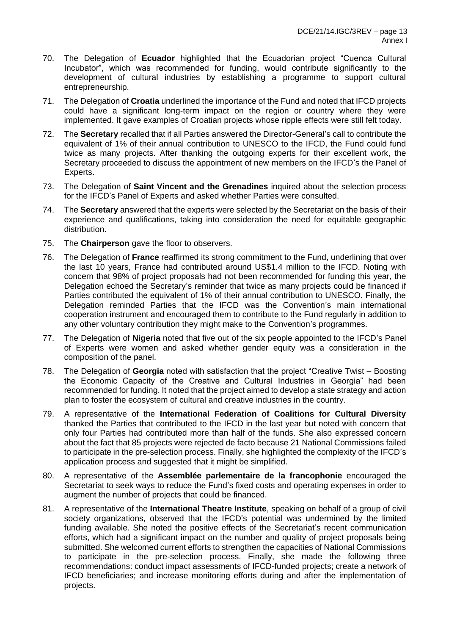- 70. The Delegation of **Ecuador** highlighted that the Ecuadorian project "Cuenca Cultural Incubator", which was recommended for funding, would contribute significantly to the development of cultural industries by establishing a programme to support cultural entrepreneurship.
- 71. The Delegation of **Croatia** underlined the importance of the Fund and noted that IFCD projects could have a significant long-term impact on the region or country where they were implemented. It gave examples of Croatian projects whose ripple effects were still felt today.
- 72. The **Secretary** recalled that if all Parties answered the Director-General's call to contribute the equivalent of 1% of their annual contribution to UNESCO to the IFCD, the Fund could fund twice as many projects. After thanking the outgoing experts for their excellent work, the Secretary proceeded to discuss the appointment of new members on the IFCD's the Panel of Experts.
- 73. The Delegation of **Saint Vincent and the Grenadines** inquired about the selection process for the IFCD's Panel of Experts and asked whether Parties were consulted.
- 74. The **Secretary** answered that the experts were selected by the Secretariat on the basis of their experience and qualifications, taking into consideration the need for equitable geographic distribution.
- 75. The **Chairperson** gave the floor to observers.
- 76. The Delegation of **France** reaffirmed its strong commitment to the Fund, underlining that over the last 10 years, France had contributed around US\$1.4 million to the IFCD. Noting with concern that 98% of project proposals had not been recommended for funding this year, the Delegation echoed the Secretary's reminder that twice as many projects could be financed if Parties contributed the equivalent of 1% of their annual contribution to UNESCO. Finally, the Delegation reminded Parties that the IFCD was the Convention's main international cooperation instrument and encouraged them to contribute to the Fund regularly in addition to any other voluntary contribution they might make to the Convention's programmes.
- 77. The Delegation of **Nigeria** noted that five out of the six people appointed to the IFCD's Panel of Experts were women and asked whether gender equity was a consideration in the composition of the panel.
- 78. The Delegation of **Georgia** noted with satisfaction that the project "Creative Twist Boosting the Economic Capacity of the Creative and Cultural Industries in Georgia" had been recommended for funding. It noted that the project aimed to develop a state strategy and action plan to foster the ecosystem of cultural and creative industries in the country.
- 79. A representative of the **International Federation of Coalitions for Cultural Diversity** thanked the Parties that contributed to the IFCD in the last year but noted with concern that only four Parties had contributed more than half of the funds. She also expressed concern about the fact that 85 projects were rejected de facto because 21 National Commissions failed to participate in the pre-selection process. Finally, she highlighted the complexity of the IFCD's application process and suggested that it might be simplified.
- 80. A representative of the **Assemblée parlementaire de la francophonie** encouraged the Secretariat to seek ways to reduce the Fund's fixed costs and operating expenses in order to augment the number of projects that could be financed.
- 81. A representative of the **International Theatre Institute**, speaking on behalf of a group of civil society organizations, observed that the IFCD's potential was undermined by the limited funding available. She noted the positive effects of the Secretariat's recent communication efforts, which had a significant impact on the number and quality of project proposals being submitted. She welcomed current efforts to strengthen the capacities of National Commissions to participate in the pre-selection process. Finally, she made the following three recommendations: conduct impact assessments of IFCD-funded projects; create a network of IFCD beneficiaries; and increase monitoring efforts during and after the implementation of projects.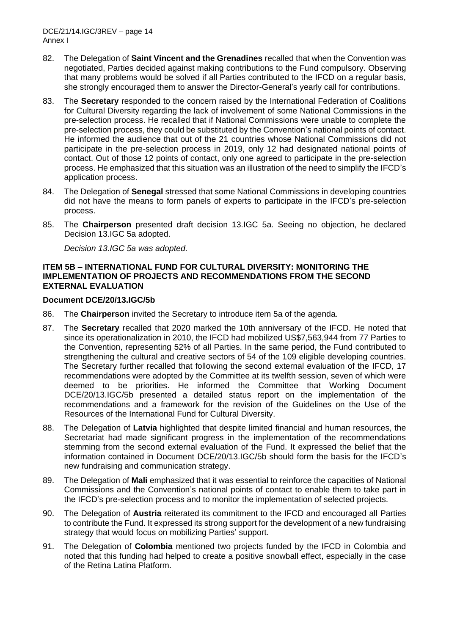- 82. The Delegation of **Saint Vincent and the Grenadines** recalled that when the Convention was negotiated, Parties decided against making contributions to the Fund compulsory. Observing that many problems would be solved if all Parties contributed to the IFCD on a regular basis, she strongly encouraged them to answer the Director-General's yearly call for contributions.
- 83. The **Secretary** responded to the concern raised by the International Federation of Coalitions for Cultural Diversity regarding the lack of involvement of some National Commissions in the pre-selection process. He recalled that if National Commissions were unable to complete the pre-selection process, they could be substituted by the Convention's national points of contact. He informed the audience that out of the 21 countries whose National Commissions did not participate in the pre-selection process in 2019, only 12 had designated national points of contact. Out of those 12 points of contact, only one agreed to participate in the pre-selection process. He emphasized that this situation was an illustration of the need to simplify the IFCD's application process.
- 84. The Delegation of **Senegal** stressed that some National Commissions in developing countries did not have the means to form panels of experts to participate in the IFCD's pre-selection process.
- 85. The **Chairperson** presented draft decision 13.IGC 5a. Seeing no objection, he declared Decision 13.IGC 5a adopted.

*Decision 13.IGC 5a was adopted.* 

## **ITEM 5B – INTERNATIONAL FUND FOR CULTURAL DIVERSITY: MONITORING THE IMPLEMENTATION OF PROJECTS AND RECOMMENDATIONS FROM THE SECOND EXTERNAL EVALUATION**

## **Document DCE/20/13.IGC/5b**

- 86. The **Chairperson** invited the Secretary to introduce item 5a of the agenda.
- 87. The **Secretary** recalled that 2020 marked the 10th anniversary of the IFCD. He noted that since its operationalization in 2010, the IFCD had mobilized US\$7,563,944 from 77 Parties to the Convention, representing 52% of all Parties. In the same period, the Fund contributed to strengthening the cultural and creative sectors of 54 of the 109 eligible developing countries. The Secretary further recalled that following the second external evaluation of the IFCD, 17 recommendations were adopted by the Committee at its twelfth session, seven of which were deemed to be priorities. He informed the Committee that Working Document DCE/20/13.IGC/5b presented a detailed status report on the implementation of the recommendations and a framework for the revision of the Guidelines on the Use of the Resources of the International Fund for Cultural Diversity.
- 88. The Delegation of **Latvia** highlighted that despite limited financial and human resources, the Secretariat had made significant progress in the implementation of the recommendations stemming from the second external evaluation of the Fund. It expressed the belief that the information contained in Document DCE/20/13.IGC/5b should form the basis for the IFCD's new fundraising and communication strategy.
- 89. The Delegation of **Mali** emphasized that it was essential to reinforce the capacities of National Commissions and the Convention's national points of contact to enable them to take part in the IFCD's pre-selection process and to monitor the implementation of selected projects.
- 90. The Delegation of **Austria** reiterated its commitment to the IFCD and encouraged all Parties to contribute the Fund. It expressed its strong support for the development of a new fundraising strategy that would focus on mobilizing Parties' support.
- 91. The Delegation of **Colombia** mentioned two projects funded by the IFCD in Colombia and noted that this funding had helped to create a positive snowball effect, especially in the case of the Retina Latina Platform.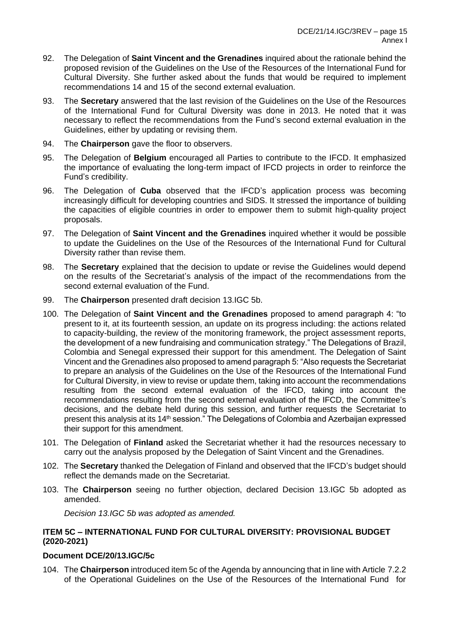- 92. The Delegation of **Saint Vincent and the Grenadines** inquired about the rationale behind the proposed revision of the Guidelines on the Use of the Resources of the International Fund for Cultural Diversity. She further asked about the funds that would be required to implement recommendations 14 and 15 of the second external evaluation.
- 93. The **Secretary** answered that the last revision of the Guidelines on the Use of the Resources of the International Fund for Cultural Diversity was done in 2013. He noted that it was necessary to reflect the recommendations from the Fund's second external evaluation in the Guidelines, either by updating or revising them.
- 94. The **Chairperson** gave the floor to observers.
- 95. The Delegation of **Belgium** encouraged all Parties to contribute to the IFCD. It emphasized the importance of evaluating the long-term impact of IFCD projects in order to reinforce the Fund's credibility.
- 96. The Delegation of **Cuba** observed that the IFCD's application process was becoming increasingly difficult for developing countries and SIDS. It stressed the importance of building the capacities of eligible countries in order to empower them to submit high-quality project proposals.
- 97. The Delegation of **Saint Vincent and the Grenadines** inquired whether it would be possible to update the Guidelines on the Use of the Resources of the International Fund for Cultural Diversity rather than revise them.
- 98. The **Secretary** explained that the decision to update or revise the Guidelines would depend on the results of the Secretariat's analysis of the impact of the recommendations from the second external evaluation of the Fund.
- 99. The **Chairperson** presented draft decision 13.IGC 5b.
- 100. The Delegation of **Saint Vincent and the Grenadines** proposed to amend paragraph 4: "to present to it, at its fourteenth session, an update on its progress including: the actions related to capacity-building, the review of the monitoring framework, the project assessment reports, the development of a new fundraising and communication strategy." The Delegations of Brazil, Colombia and Senegal expressed their support for this amendment. The Delegation of Saint Vincent and the Grenadines also proposed to amend paragraph 5: "Also requests the Secretariat to prepare an analysis of the Guidelines on the Use of the Resources of the International Fund for Cultural Diversity, in view to revise or update them, taking into account the recommendations resulting from the second external evaluation of the IFCD, taking into account the recommendations resulting from the second external evaluation of the IFCD, the Committee's decisions, and the debate held during this session, and further requests the Secretariat to present this analysis at its 14<sup>th</sup> session." The Delegations of Colombia and Azerbaijan expressed their support for this amendment.
- 101. The Delegation of **Finland** asked the Secretariat whether it had the resources necessary to carry out the analysis proposed by the Delegation of Saint Vincent and the Grenadines.
- 102. The **Secretary** thanked the Delegation of Finland and observed that the IFCD's budget should reflect the demands made on the Secretariat.
- 103. The **Chairperson** seeing no further objection, declared Decision 13.IGC 5b adopted as amended.

*Decision 13.IGC 5b was adopted as amended.* 

## **ITEM 5C – INTERNATIONAL FUND FOR CULTURAL DIVERSITY: PROVISIONAL BUDGET (2020-2021)**

## **Document DCE/20/13.IGC/5c**

104. The **Chairperson** introduced item 5c of the Agenda by announcing that in line with Article 7.2.2 of the Operational Guidelines on the Use of the Resources of the International Fund for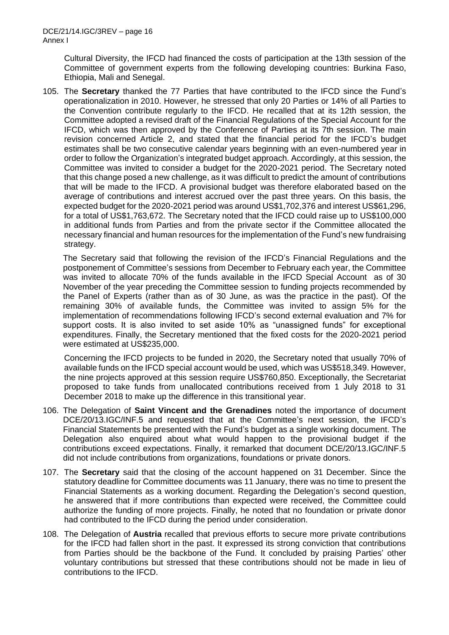Cultural Diversity, the IFCD had financed the costs of participation at the 13th session of the Committee of government experts from the following developing countries: Burkina Faso, Ethiopia, Mali and Senegal.

105. The **Secretary** thanked the 77 Parties that have contributed to the IFCD since the Fund's operationalization in 2010. However, he stressed that only 20 Parties or 14% of all Parties to the Convention contribute regularly to the IFCD. He recalled that at its 12th session, the Committee adopted a revised draft of the Financial Regulations of the Special Account for the IFCD, which was then approved by the Conference of Parties at its 7th session. The main revision concerned Article 2, and stated that the financial period for the IFCD's budget estimates shall be two consecutive calendar years beginning with an even-numbered year in order to follow the Organization's integrated budget approach. Accordingly, at this session, the Committee was invited to consider a budget for the 2020-2021 period. The Secretary noted that this change posed a new challenge, as it was difficult to predict the amount of contributions that will be made to the IFCD. A provisional budget was therefore elaborated based on the average of contributions and interest accrued over the past three years. On this basis, the expected budget for the 2020-2021 period was around US\$1,702,376 and interest US\$61,296, for a total of US\$1,763,672. The Secretary noted that the IFCD could raise up to US\$100,000 in additional funds from Parties and from the private sector if the Committee allocated the necessary financial and human resources for the implementation of the Fund's new fundraising strategy.

The Secretary said that following the revision of the IFCD's Financial Regulations and the postponement of Committee's sessions from December to February each year, the Committee was invited to allocate 70% of the funds available in the IFCD Special Account as of 30 November of the year preceding the Committee session to funding projects recommended by the Panel of Experts (rather than as of 30 June, as was the practice in the past). Of the remaining 30% of available funds, the Committee was invited to assign 5% for the implementation of recommendations following IFCD's second external evaluation and 7% for support costs. It is also invited to set aside 10% as "unassigned funds" for exceptional expenditures. Finally, the Secretary mentioned that the fixed costs for the 2020-2021 period were estimated at US\$235,000.

Concerning the IFCD projects to be funded in 2020, the Secretary noted that usually 70% of available funds on the IFCD special account would be used, which was US\$518,349. However, the nine projects approved at this session require US\$760,850. Exceptionally, the Secretariat proposed to take funds from unallocated contributions received from 1 July 2018 to 31 December 2018 to make up the difference in this transitional year.

- 106. The Delegation of **Saint Vincent and the Grenadines** noted the importance of document DCE/20/13.IGC/INF.5 and requested that at the Committee's next session, the IFCD's Financial Statements be presented with the Fund's budget as a single working document. The Delegation also enquired about what would happen to the provisional budget if the contributions exceed expectations. Finally, it remarked that document DCE/20/13.IGC/INF.5 did not include contributions from organizations, foundations or private donors.
- 107. The **Secretary** said that the closing of the account happened on 31 December. Since the statutory deadline for Committee documents was 11 January, there was no time to present the Financial Statements as a working document. Regarding the Delegation's second question, he answered that if more contributions than expected were received, the Committee could authorize the funding of more projects. Finally, he noted that no foundation or private donor had contributed to the IFCD during the period under consideration.
- 108. The Delegation of **Austria** recalled that previous efforts to secure more private contributions for the IFCD had fallen short in the past. It expressed its strong conviction that contributions from Parties should be the backbone of the Fund. It concluded by praising Parties' other voluntary contributions but stressed that these contributions should not be made in lieu of contributions to the IFCD.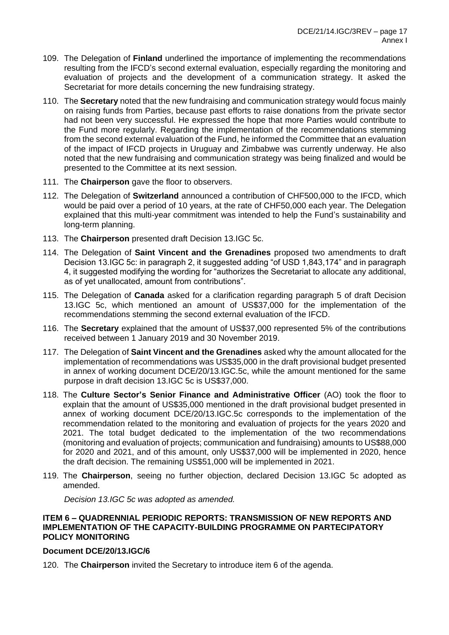- 109. The Delegation of **Finland** underlined the importance of implementing the recommendations resulting from the IFCD's second external evaluation, especially regarding the monitoring and evaluation of projects and the development of a communication strategy. It asked the Secretariat for more details concerning the new fundraising strategy.
- 110. The **Secretary** noted that the new fundraising and communication strategy would focus mainly on raising funds from Parties, because past efforts to raise donations from the private sector had not been very successful. He expressed the hope that more Parties would contribute to the Fund more regularly. Regarding the implementation of the recommendations stemming from the second external evaluation of the Fund, he informed the Committee that an evaluation of the impact of IFCD projects in Uruguay and Zimbabwe was currently underway. He also noted that the new fundraising and communication strategy was being finalized and would be presented to the Committee at its next session.
- 111. The **Chairperson** gave the floor to observers.
- 112. The Delegation of **Switzerland** announced a contribution of CHF500,000 to the IFCD, which would be paid over a period of 10 years, at the rate of CHF50,000 each year. The Delegation explained that this multi-year commitment was intended to help the Fund's sustainability and long-term planning.
- 113. The **Chairperson** presented draft Decision 13.IGC 5c.
- 114. The Delegation of **Saint Vincent and the Grenadines** proposed two amendments to draft Decision 13.IGC 5c: in paragraph 2, it suggested adding "of USD 1,843,174" and in paragraph 4, it suggested modifying the wording for "authorizes the Secretariat to allocate any additional, as of yet unallocated, amount from contributions".
- 115. The Delegation of **Canada** asked for a clarification regarding paragraph 5 of draft Decision 13.IGC 5c, which mentioned an amount of US\$37,000 for the implementation of the recommendations stemming the second external evaluation of the IFCD.
- 116. The **Secretary** explained that the amount of US\$37,000 represented 5% of the contributions received between 1 January 2019 and 30 November 2019.
- 117. The Delegation of **Saint Vincent and the Grenadines** asked why the amount allocated for the implementation of recommendations was US\$35,000 in the draft provisional budget presented in annex of working document DCE/20/13.IGC.5c, while the amount mentioned for the same purpose in draft decision 13.IGC 5c is US\$37,000.
- 118. The **Culture Sector's Senior Finance and Administrative Officer** (AO) took the floor to explain that the amount of US\$35,000 mentioned in the draft provisional budget presented in annex of working document DCE/20/13.IGC.5c corresponds to the implementation of the recommendation related to the monitoring and evaluation of projects for the years 2020 and 2021. The total budget dedicated to the implementation of the two recommendations (monitoring and evaluation of projects; communication and fundraising) amounts to US\$88,000 for 2020 and 2021, and of this amount, only US\$37,000 will be implemented in 2020, hence the draft decision. The remaining US\$51,000 will be implemented in 2021.
- 119. The **Chairperson**, seeing no further objection, declared Decision 13.IGC 5c adopted as amended.

*Decision 13.IGC 5c was adopted as amended.*

## **ITEM 6 – QUADRENNIAL PERIODIC REPORTS: TRANSMISSION OF NEW REPORTS AND IMPLEMENTATION OF THE CAPACITY-BUILDING PROGRAMME ON PARTECIPATORY POLICY MONITORING**

## **Document DCE/20/13.IGC/6**

120. The **Chairperson** invited the Secretary to introduce item 6 of the agenda.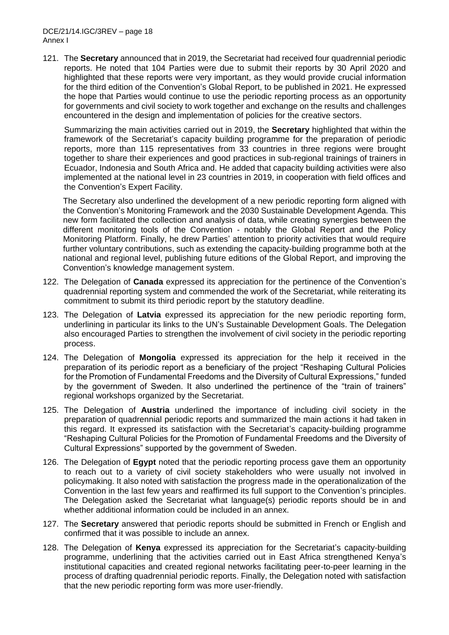DCE/21/14.IGC/3REV – page 18 Annex I

121. The **Secretary** announced that in 2019, the Secretariat had received four quadrennial periodic reports. He noted that 104 Parties were due to submit their reports by 30 April 2020 and highlighted that these reports were very important, as they would provide crucial information for the third edition of the Convention's Global Report, to be published in 2021. He expressed the hope that Parties would continue to use the periodic reporting process as an opportunity for governments and civil society to work together and exchange on the results and challenges encountered in the design and implementation of policies for the creative sectors.

Summarizing the main activities carried out in 2019, the **Secretary** highlighted that within the framework of the Secretariat's capacity building programme for the preparation of periodic reports, more than 115 representatives from 33 countries in three regions were brought together to share their experiences and good practices in sub-regional trainings of trainers in Ecuador, Indonesia and South Africa and. He added that capacity building activities were also implemented at the national level in 23 countries in 2019, in cooperation with field offices and the Convention's Expert Facility.

The Secretary also underlined the development of a new periodic reporting form aligned with the Convention's Monitoring Framework and the 2030 Sustainable Development Agenda. This new form facilitated the collection and analysis of data, while creating synergies between the different monitoring tools of the Convention - notably the Global Report and the Policy Monitoring Platform. Finally, he drew Parties' attention to priority activities that would require further voluntary contributions, such as extending the capacity-building programme both at the national and regional level, publishing future editions of the Global Report, and improving the Convention's knowledge management system.

- 122. The Delegation of **Canada** expressed its appreciation for the pertinence of the Convention's quadrennial reporting system and commended the work of the Secretariat, while reiterating its commitment to submit its third periodic report by the statutory deadline.
- 123. The Delegation of **Latvia** expressed its appreciation for the new periodic reporting form, underlining in particular its links to the UN's Sustainable Development Goals. The Delegation also encouraged Parties to strengthen the involvement of civil society in the periodic reporting process.
- 124. The Delegation of **Mongolia** expressed its appreciation for the help it received in the preparation of its periodic report as a beneficiary of the project "Reshaping Cultural Policies for the Promotion of Fundamental Freedoms and the Diversity of Cultural Expressions," funded by the government of Sweden. It also underlined the pertinence of the "train of trainers" regional workshops organized by the Secretariat.
- 125. The Delegation of **Austria** underlined the importance of including civil society in the preparation of quadrennial periodic reports and summarized the main actions it had taken in this regard. It expressed its satisfaction with the Secretariat's capacity-building programme "Reshaping Cultural Policies for the Promotion of Fundamental Freedoms and the Diversity of Cultural Expressions" supported by the government of Sweden.
- 126. The Delegation of **Egypt** noted that the periodic reporting process gave them an opportunity to reach out to a variety of civil society stakeholders who were usually not involved in policymaking. It also noted with satisfaction the progress made in the operationalization of the Convention in the last few years and reaffirmed its full support to the Convention's principles. The Delegation asked the Secretariat what language(s) periodic reports should be in and whether additional information could be included in an annex.
- 127. The **Secretary** answered that periodic reports should be submitted in French or English and confirmed that it was possible to include an annex.
- 128. The Delegation of **Kenya** expressed its appreciation for the Secretariat's capacity-building programme, underlining that the activities carried out in East Africa strengthened Kenya's institutional capacities and created regional networks facilitating peer-to-peer learning in the process of drafting quadrennial periodic reports. Finally, the Delegation noted with satisfaction that the new periodic reporting form was more user-friendly.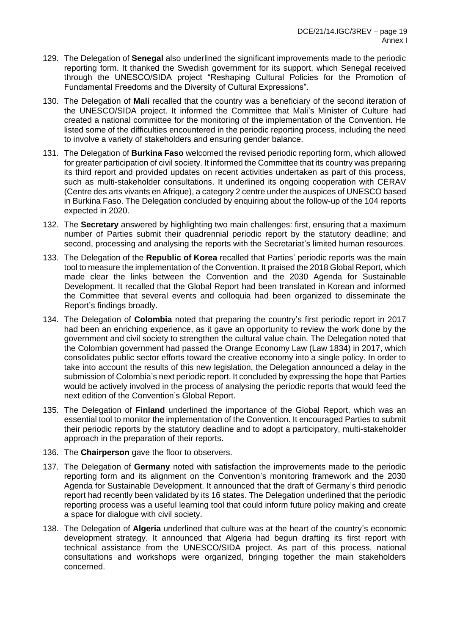- 129. The Delegation of **Senegal** also underlined the significant improvements made to the periodic reporting form. It thanked the Swedish government for its support, which Senegal received through the UNESCO/SIDA project "Reshaping Cultural Policies for the Promotion of Fundamental Freedoms and the Diversity of Cultural Expressions".
- 130. The Delegation of **Mali** recalled that the country was a beneficiary of the second iteration of the UNESCO/SIDA project. It informed the Committee that Mali's Minister of Culture had created a national committee for the monitoring of the implementation of the Convention. He listed some of the difficulties encountered in the periodic reporting process, including the need to involve a variety of stakeholders and ensuring gender balance.
- 131. The Delegation of **Burkina Faso** welcomed the revised periodic reporting form, which allowed for greater participation of civil society. It informed the Committee that its country was preparing its third report and provided updates on recent activities undertaken as part of this process, such as multi-stakeholder consultations. It underlined its ongoing cooperation with CERAV (Centre des arts vivants en Afrique), a category 2 centre under the auspices of UNESCO based in Burkina Faso. The Delegation concluded by enquiring about the follow-up of the 104 reports expected in 2020.
- 132. The **Secretary** answered by highlighting two main challenges: first, ensuring that a maximum number of Parties submit their quadrennial periodic report by the statutory deadline; and second, processing and analysing the reports with the Secretariat's limited human resources.
- 133. The Delegation of the **Republic of Korea** recalled that Parties' periodic reports was the main tool to measure the implementation of the Convention. It praised the 2018 Global Report, which made clear the links between the Convention and the 2030 Agenda for Sustainable Development. It recalled that the Global Report had been translated in Korean and informed the Committee that several events and colloquia had been organized to disseminate the Report's findings broadly.
- 134. The Delegation of **Colombia** noted that preparing the country's first periodic report in 2017 had been an enriching experience, as it gave an opportunity to review the work done by the government and civil society to strengthen the cultural value chain. The Delegation noted that the Colombian government had passed the Orange Economy Law (Law 1834) in 2017, which consolidates public sector efforts toward the creative economy into a single policy. In order to take into account the results of this new legislation, the Delegation announced a delay in the submission of Colombia's next periodic report. It concluded by expressing the hope that Parties would be actively involved in the process of analysing the periodic reports that would feed the next edition of the Convention's Global Report.
- 135. The Delegation of **Finland** underlined the importance of the Global Report, which was an essential tool to monitor the implementation of the Convention. It encouraged Parties to submit their periodic reports by the statutory deadline and to adopt a participatory, multi-stakeholder approach in the preparation of their reports.
- 136. The **Chairperson** gave the floor to observers.
- 137. The Delegation of **Germany** noted with satisfaction the improvements made to the periodic reporting form and its alignment on the Convention's monitoring framework and the 2030 Agenda for Sustainable Development. It announced that the draft of Germany's third periodic report had recently been validated by its 16 states. The Delegation underlined that the periodic reporting process was a useful learning tool that could inform future policy making and create a space for dialogue with civil society.
- 138. The Delegation of **Algeria** underlined that culture was at the heart of the country's economic development strategy. It announced that Algeria had begun drafting its first report with technical assistance from the UNESCO/SIDA project. As part of this process, national consultations and workshops were organized, bringing together the main stakeholders concerned.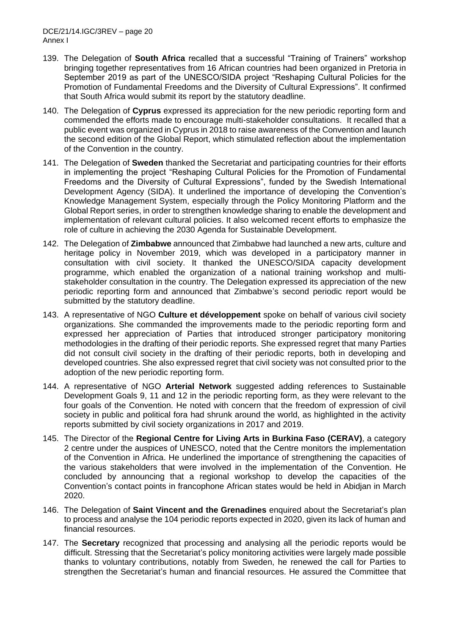- 139. The Delegation of **South Africa** recalled that a successful "Training of Trainers" workshop bringing together representatives from 16 African countries had been organized in Pretoria in September 2019 as part of the UNESCO/SIDA project "Reshaping Cultural Policies for the Promotion of Fundamental Freedoms and the Diversity of Cultural Expressions". It confirmed that South Africa would submit its report by the statutory deadline.
- 140. The Delegation of **Cyprus** expressed its appreciation for the new periodic reporting form and commended the efforts made to encourage multi-stakeholder consultations. It recalled that a public event was organized in Cyprus in 2018 to raise awareness of the Convention and launch the second edition of the Global Report, which stimulated reflection about the implementation of the Convention in the country.
- 141. The Delegation of **Sweden** thanked the Secretariat and participating countries for their efforts in implementing the project "Reshaping Cultural Policies for the Promotion of Fundamental Freedoms and the Diversity of Cultural Expressions", funded by the Swedish International Development Agency (SIDA). It underlined the importance of developing the Convention's Knowledge Management System, especially through the Policy Monitoring Platform and the Global Report series, in order to strengthen knowledge sharing to enable the development and implementation of relevant cultural policies. It also welcomed recent efforts to emphasize the role of culture in achieving the 2030 Agenda for Sustainable Development.
- 142. The Delegation of **Zimbabwe** announced that Zimbabwe had launched a new arts, culture and heritage policy in November 2019, which was developed in a participatory manner in consultation with civil society. It thanked the UNESCO/SIDA capacity development programme, which enabled the organization of a national training workshop and multistakeholder consultation in the country. The Delegation expressed its appreciation of the new periodic reporting form and announced that Zimbabwe's second periodic report would be submitted by the statutory deadline.
- 143. A representative of NGO **Culture et développement** spoke on behalf of various civil society organizations. She commanded the improvements made to the periodic reporting form and expressed her appreciation of Parties that introduced stronger participatory monitoring methodologies in the drafting of their periodic reports. She expressed regret that many Parties did not consult civil society in the drafting of their periodic reports, both in developing and developed countries. She also expressed regret that civil society was not consulted prior to the adoption of the new periodic reporting form.
- 144. A representative of NGO **Arterial Network** suggested adding references to Sustainable Development Goals 9, 11 and 12 in the periodic reporting form, as they were relevant to the four goals of the Convention. He noted with concern that the freedom of expression of civil society in public and political fora had shrunk around the world, as highlighted in the activity reports submitted by civil society organizations in 2017 and 2019.
- 145. The Director of the **Regional Centre for Living Arts in Burkina Faso (CERAV)**, a category 2 centre under the auspices of UNESCO, noted that the Centre monitors the implementation of the Convention in Africa. He underlined the importance of strengthening the capacities of the various stakeholders that were involved in the implementation of the Convention. He concluded by announcing that a regional workshop to develop the capacities of the Convention's contact points in francophone African states would be held in Abidjan in March 2020.
- 146. The Delegation of **Saint Vincent and the Grenadines** enquired about the Secretariat's plan to process and analyse the 104 periodic reports expected in 2020, given its lack of human and financial resources.
- 147. The **Secretary** recognized that processing and analysing all the periodic reports would be difficult. Stressing that the Secretariat's policy monitoring activities were largely made possible thanks to voluntary contributions, notably from Sweden, he renewed the call for Parties to strengthen the Secretariat's human and financial resources. He assured the Committee that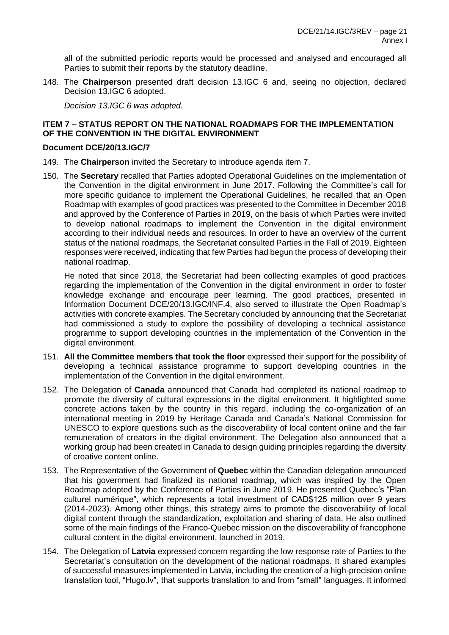all of the submitted periodic reports would be processed and analysed and encouraged all Parties to submit their reports by the statutory deadline.

148. The **Chairperson** presented draft decision 13.IGC 6 and, seeing no objection, declared Decision 13.IGC 6 adopted.

*Decision 13.IGC 6 was adopted.*

## **ITEM 7 – STATUS REPORT ON THE NATIONAL ROADMAPS FOR THE IMPLEMENTATION OF THE CONVENTION IN THE DIGITAL ENVIRONMENT**

### **Document DCE/20/13.IGC/7**

- 149. The **Chairperson** invited the Secretary to introduce agenda item 7.
- 150. The **Secretary** recalled that Parties adopted Operational Guidelines on the implementation of the Convention in the digital environment in June 2017. Following the Committee's call for more specific guidance to implement the Operational Guidelines, he recalled that an Open Roadmap with examples of good practices was presented to the Committee in December 2018 and approved by the Conference of Parties in 2019, on the basis of which Parties were invited to develop national roadmaps to implement the Convention in the digital environment according to their individual needs and resources. In order to have an overview of the current status of the national roadmaps, the Secretariat consulted Parties in the Fall of 2019. Eighteen responses were received, indicating that few Parties had begun the process of developing their national roadmap.

He noted that since 2018, the Secretariat had been collecting examples of good practices regarding the implementation of the Convention in the digital environment in order to foster knowledge exchange and encourage peer learning. The good practices, presented in Information Document DCE/20/13.IGC/INF.4, also served to illustrate the Open Roadmap's activities with concrete examples. The Secretary concluded by announcing that the Secretariat had commissioned a study to explore the possibility of developing a technical assistance programme to support developing countries in the implementation of the Convention in the digital environment.

- 151. **All the Committee members that took the floor** expressed their support for the possibility of developing a technical assistance programme to support developing countries in the implementation of the Convention in the digital environment.
- 152. The Delegation of **Canada** announced that Canada had completed its national roadmap to promote the diversity of cultural expressions in the digital environment. It highlighted some concrete actions taken by the country in this regard, including the co-organization of an international meeting in 2019 by Heritage Canada and Canada's National Commission for UNESCO to explore questions such as the discoverability of local content online and the fair remuneration of creators in the digital environment. The Delegation also announced that a working group had been created in Canada to design guiding principles regarding the diversity of creative content online.
- 153. The Representative of the Government of **Quebec** within the Canadian delegation announced that his government had finalized its national roadmap, which was inspired by the Open Roadmap adopted by the Conference of Parties in June 2019. He presented Quebec's "Plan culturel numérique", which represents a total investment of CAD\$125 million over 9 years (2014-2023). Among other things, this strategy aims to promote the discoverability of local digital content through the standardization, exploitation and sharing of data. He also outlined some of the main findings of the Franco-Quebec mission on the discoverability of francophone cultural content in the digital environment, launched in 2019.
- 154. The Delegation of **Latvia** expressed concern regarding the low response rate of Parties to the Secretariat's consultation on the development of the national roadmaps. It shared examples of successful measures implemented in Latvia, including the creation of a high-precision online translation tool, "Hugo.lv", that supports translation to and from "small" languages. It informed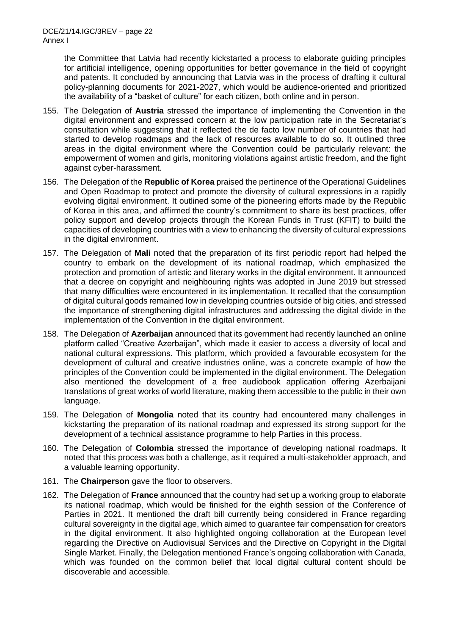the Committee that Latvia had recently kickstarted a process to elaborate guiding principles for artificial intelligence, opening opportunities for better governance in the field of copyright and patents. It concluded by announcing that Latvia was in the process of drafting it cultural policy-planning documents for 2021-2027, which would be audience-oriented and prioritized the availability of a "basket of culture" for each citizen, both online and in person.

- 155. The Delegation of **Austria** stressed the importance of implementing the Convention in the digital environment and expressed concern at the low participation rate in the Secretariat's consultation while suggesting that it reflected the de facto low number of countries that had started to develop roadmaps and the lack of resources available to do so. It outlined three areas in the digital environment where the Convention could be particularly relevant: the empowerment of women and girls, monitoring violations against artistic freedom, and the fight against cyber-harassment.
- 156. The Delegation of the **Republic of Korea** praised the pertinence of the Operational Guidelines and Open Roadmap to protect and promote the diversity of cultural expressions in a rapidly evolving digital environment. It outlined some of the pioneering efforts made by the Republic of Korea in this area, and affirmed the country's commitment to share its best practices, offer policy support and develop projects through the Korean Funds in Trust (KFIT) to build the capacities of developing countries with a view to enhancing the diversity of cultural expressions in the digital environment.
- 157. The Delegation of **Mali** noted that the preparation of its first periodic report had helped the country to embark on the development of its national roadmap, which emphasized the protection and promotion of artistic and literary works in the digital environment. It announced that a decree on copyright and neighbouring rights was adopted in June 2019 but stressed that many difficulties were encountered in its implementation. It recalled that the consumption of digital cultural goods remained low in developing countries outside of big cities, and stressed the importance of strengthening digital infrastructures and addressing the digital divide in the implementation of the Convention in the digital environment.
- 158. The Delegation of **Azerbaijan** announced that its government had recently launched an online platform called "Creative Azerbaijan", which made it easier to access a diversity of local and national cultural expressions. This platform, which provided a favourable ecosystem for the development of cultural and creative industries online, was a concrete example of how the principles of the Convention could be implemented in the digital environment. The Delegation also mentioned the development of a free audiobook application offering Azerbaijani translations of great works of world literature, making them accessible to the public in their own language.
- 159. The Delegation of **Mongolia** noted that its country had encountered many challenges in kickstarting the preparation of its national roadmap and expressed its strong support for the development of a technical assistance programme to help Parties in this process.
- 160. The Delegation of **Colombia** stressed the importance of developing national roadmaps. It noted that this process was both a challenge, as it required a multi-stakeholder approach, and a valuable learning opportunity.
- 161. The **Chairperson** gave the floor to observers.
- 162. The Delegation of **France** announced that the country had set up a working group to elaborate its national roadmap, which would be finished for the eighth session of the Conference of Parties in 2021. It mentioned the draft bill currently being considered in France regarding cultural sovereignty in the digital age, which aimed to guarantee fair compensation for creators in the digital environment. It also highlighted ongoing collaboration at the European level regarding the Directive on Audiovisual Services and the Directive on Copyright in the Digital Single Market. Finally, the Delegation mentioned France's ongoing collaboration with Canada, which was founded on the common belief that local digital cultural content should be discoverable and accessible.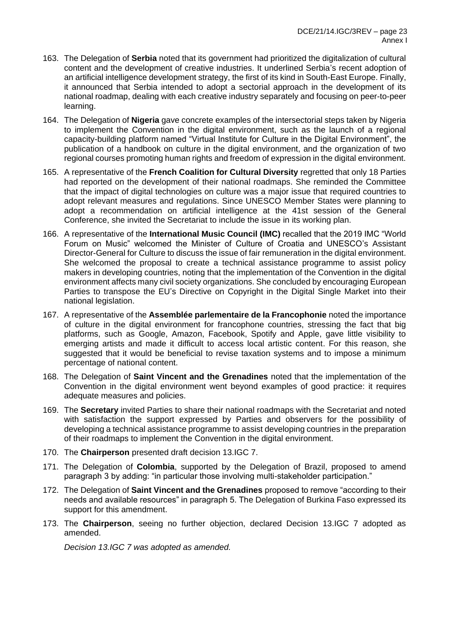- 163. The Delegation of **Serbia** noted that its government had prioritized the digitalization of cultural content and the development of creative industries. It underlined Serbia's recent adoption of an artificial intelligence development strategy, the first of its kind in South-East Europe. Finally, it announced that Serbia intended to adopt a sectorial approach in the development of its national roadmap, dealing with each creative industry separately and focusing on peer-to-peer learning.
- 164. The Delegation of **Nigeria** gave concrete examples of the intersectorial steps taken by Nigeria to implement the Convention in the digital environment, such as the launch of a regional capacity-building platform named "Virtual Institute for Culture in the Digital Environment", the publication of a handbook on culture in the digital environment, and the organization of two regional courses promoting human rights and freedom of expression in the digital environment.
- 165. A representative of the **French Coalition for Cultural Diversity** regretted that only 18 Parties had reported on the development of their national roadmaps. She reminded the Committee that the impact of digital technologies on culture was a major issue that required countries to adopt relevant measures and regulations. Since UNESCO Member States were planning to adopt a recommendation on artificial intelligence at the 41st session of the General Conference, she invited the Secretariat to include the issue in its working plan.
- 166. A representative of the **International Music Council (IMC)** recalled that the 2019 IMC "World Forum on Music" welcomed the Minister of Culture of Croatia and UNESCO's Assistant Director-General for Culture to discuss the issue of fair remuneration in the digital environment. She welcomed the proposal to create a technical assistance programme to assist policy makers in developing countries, noting that the implementation of the Convention in the digital environment affects many civil society organizations. She concluded by encouraging European Parties to transpose the EU's Directive on Copyright in the Digital Single Market into their national legislation.
- 167. A representative of the **Assemblée parlementaire de la Francophonie** noted the importance of culture in the digital environment for francophone countries, stressing the fact that big platforms, such as Google, Amazon, Facebook, Spotify and Apple, gave little visibility to emerging artists and made it difficult to access local artistic content. For this reason, she suggested that it would be beneficial to revise taxation systems and to impose a minimum percentage of national content.
- 168. The Delegation of **Saint Vincent and the Grenadines** noted that the implementation of the Convention in the digital environment went beyond examples of good practice: it requires adequate measures and policies.
- 169. The **Secretary** invited Parties to share their national roadmaps with the Secretariat and noted with satisfaction the support expressed by Parties and observers for the possibility of developing a technical assistance programme to assist developing countries in the preparation of their roadmaps to implement the Convention in the digital environment.
- 170. The **Chairperson** presented draft decision 13.IGC 7.
- 171. The Delegation of **Colombia**, supported by the Delegation of Brazil, proposed to amend paragraph 3 by adding: "in particular those involving multi-stakeholder participation."
- 172. The Delegation of **Saint Vincent and the Grenadines** proposed to remove "according to their needs and available resources" in paragraph 5. The Delegation of Burkina Faso expressed its support for this amendment.
- 173. The **Chairperson**, seeing no further objection, declared Decision 13.IGC 7 adopted as amended.

*Decision 13.IGC 7 was adopted as amended.*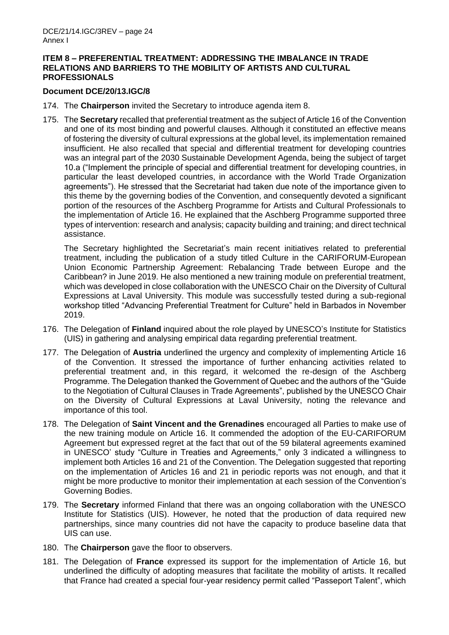### **ITEM 8 – PREFERENTIAL TREATMENT: ADDRESSING THE IMBALANCE IN TRADE RELATIONS AND BARRIERS TO THE MOBILITY OF ARTISTS AND CULTURAL PROFESSIONALS**

### **Document DCE/20/13.IGC/8**

- 174. The **Chairperson** invited the Secretary to introduce agenda item 8.
- 175. The **Secretary** recalled that preferential treatment as the subject of Article 16 of the Convention and one of its most binding and powerful clauses. Although it constituted an effective means of fostering the diversity of cultural expressions at the global level, its implementation remained insufficient. He also recalled that special and differential treatment for developing countries was an integral part of the 2030 Sustainable Development Agenda, being the subject of target 10.a ("Implement the principle of special and differential treatment for developing countries, in particular the least developed countries, in accordance with the World Trade Organization agreements"). He stressed that the Secretariat had taken due note of the importance given to this theme by the governing bodies of the Convention, and consequently devoted a significant portion of the resources of the Aschberg Programme for Artists and Cultural Professionals to the implementation of Article 16. He explained that the Aschberg Programme supported three types of intervention: research and analysis; capacity building and training; and direct technical assistance.

The Secretary highlighted the Secretariat's main recent initiatives related to preferential treatment, including the publication of a study titled Culture in the CARIFORUM-European Union Economic Partnership Agreement: Rebalancing Trade between Europe and the Caribbean? in June 2019. He also mentioned a new training module on preferential treatment, which was developed in close collaboration with the UNESCO Chair on the Diversity of Cultural Expressions at Laval University. This module was successfully tested during a sub-regional workshop titled "Advancing Preferential Treatment for Culture" held in Barbados in November 2019.

- 176. The Delegation of **Finland** inquired about the role played by UNESCO's Institute for Statistics (UIS) in gathering and analysing empirical data regarding preferential treatment.
- 177. The Delegation of **Austria** underlined the urgency and complexity of implementing Article 16 of the Convention. It stressed the importance of further enhancing activities related to preferential treatment and, in this regard, it welcomed the re-design of the Aschberg Programme. The Delegation thanked the Government of Quebec and the authors of the "Guide" to the Negotiation of Cultural Clauses in Trade Agreements", published by the UNESCO Chair on the Diversity of Cultural Expressions at Laval University, noting the relevance and importance of this tool.
- 178. The Delegation of **Saint Vincent and the Grenadines** encouraged all Parties to make use of the new training module on Article 16. It commended the adoption of the EU-CARIFORUM Agreement but expressed regret at the fact that out of the 59 bilateral agreements examined in UNESCO' study "Culture in Treaties and Agreements," only 3 indicated a willingness to implement both Articles 16 and 21 of the Convention. The Delegation suggested that reporting on the implementation of Articles 16 and 21 in periodic reports was not enough, and that it might be more productive to monitor their implementation at each session of the Convention's Governing Bodies.
- 179. The **Secretary** informed Finland that there was an ongoing collaboration with the UNESCO Institute for Statistics (UIS). However, he noted that the production of data required new partnerships, since many countries did not have the capacity to produce baseline data that UIS can use.
- 180. The **Chairperson** gave the floor to observers.
- 181. The Delegation of **France** expressed its support for the implementation of Article 16, but underlined the difficulty of adopting measures that facilitate the mobility of artists. It recalled that France had created a special four-year residency permit called "Passeport Talent", which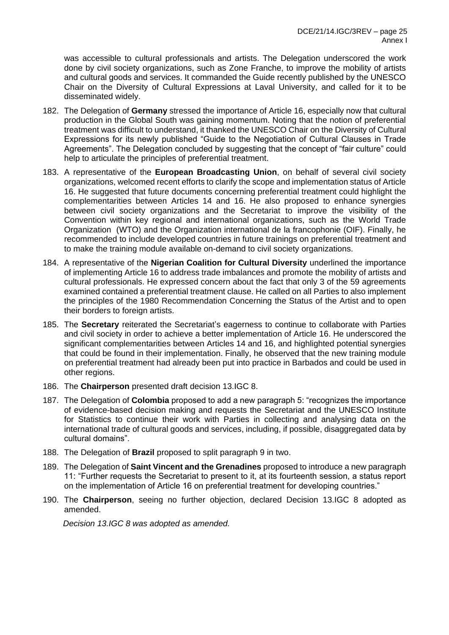was accessible to cultural professionals and artists. The Delegation underscored the work done by civil society organizations, such as Zone Franche, to improve the mobility of artists and cultural goods and services. It commanded the Guide recently published by the UNESCO Chair on the Diversity of Cultural Expressions at Laval University, and called for it to be disseminated widely.

- 182. The Delegation of **Germany** stressed the importance of Article 16, especially now that cultural production in the Global South was gaining momentum. Noting that the notion of preferential treatment was difficult to understand, it thanked the UNESCO Chair on the Diversity of Cultural Expressions for its newly published "Guide to the Negotiation of Cultural Clauses in Trade Agreements". The Delegation concluded by suggesting that the concept of "fair culture" could help to articulate the principles of preferential treatment.
- 183. A representative of the **European Broadcasting Union**, on behalf of several civil society organizations, welcomed recent efforts to clarify the scope and implementation status of Article 16. He suggested that future documents concerning preferential treatment could highlight the complementarities between Articles 14 and 16. He also proposed to enhance synergies between civil society organizations and the Secretariat to improve the visibility of the Convention within key regional and international organizations, such as the World Trade Organization (WTO) and the Organization international de la francophonie (OIF). Finally, he recommended to include developed countries in future trainings on preferential treatment and to make the training module available on-demand to civil society organizations.
- 184. A representative of the **Nigerian Coalition for Cultural Diversity** underlined the importance of implementing Article 16 to address trade imbalances and promote the mobility of artists and cultural professionals. He expressed concern about the fact that only 3 of the 59 agreements examined contained a preferential treatment clause. He called on all Parties to also implement the principles of the 1980 Recommendation Concerning the Status of the Artist and to open their borders to foreign artists.
- 185. The **Secretary** reiterated the Secretariat's eagerness to continue to collaborate with Parties and civil society in order to achieve a better implementation of Article 16. He underscored the significant complementarities between Articles 14 and 16, and highlighted potential synergies that could be found in their implementation. Finally, he observed that the new training module on preferential treatment had already been put into practice in Barbados and could be used in other regions.
- 186. The **Chairperson** presented draft decision 13.IGC 8.
- 187. The Delegation of **Colombia** proposed to add a new paragraph 5: "recognizes the importance of evidence-based decision making and requests the Secretariat and the UNESCO Institute for Statistics to continue their work with Parties in collecting and analysing data on the international trade of cultural goods and services, including, if possible, disaggregated data by cultural domains".
- 188. The Delegation of **Brazil** proposed to split paragraph 9 in two.
- 189. The Delegation of **Saint Vincent and the Grenadines** proposed to introduce a new paragraph 11: "Further requests the Secretariat to present to it, at its fourteenth session, a status report on the implementation of Article 16 on preferential treatment for developing countries."
- 190. The **Chairperson**, seeing no further objection, declared Decision 13.IGC 8 adopted as amended.

*Decision 13.IGC 8 was adopted as amended.*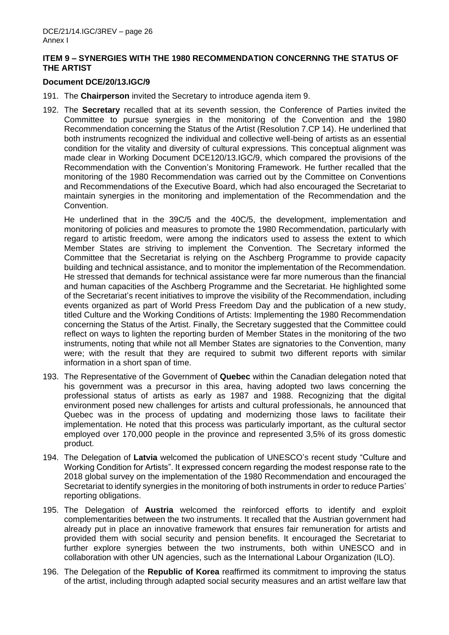## **ITEM 9 – SYNERGIES WITH THE 1980 RECOMMENDATION CONCERNNG THE STATUS OF THE ARTIST**

### **Document DCE/20/13.IGC/9**

- 191. The **Chairperson** invited the Secretary to introduce agenda item 9.
- 192. The **Secretary** recalled that at its seventh session, the Conference of Parties invited the Committee to pursue synergies in the monitoring of the Convention and the 1980 Recommendation concerning the Status of the Artist (Resolution 7.CP 14). He underlined that both instruments recognized the individual and collective well-being of artists as an essential condition for the vitality and diversity of cultural expressions. This conceptual alignment was made clear in Working Document DCE120/13.IGC/9, which compared the provisions of the Recommendation with the Convention's Monitoring Framework. He further recalled that the monitoring of the 1980 Recommendation was carried out by the Committee on Conventions and Recommendations of the Executive Board, which had also encouraged the Secretariat to maintain synergies in the monitoring and implementation of the Recommendation and the Convention.

He underlined that in the 39C/5 and the 40C/5, the development, implementation and monitoring of policies and measures to promote the 1980 Recommendation, particularly with regard to artistic freedom, were among the indicators used to assess the extent to which Member States are striving to implement the Convention. The Secretary informed the Committee that the Secretariat is relying on the Aschberg Programme to provide capacity building and technical assistance, and to monitor the implementation of the Recommendation. He stressed that demands for technical assistance were far more numerous than the financial and human capacities of the Aschberg Programme and the Secretariat. He highlighted some of the Secretariat's recent initiatives to improve the visibility of the Recommendation, including events organized as part of World Press Freedom Day and the publication of a new study, titled Culture and the Working Conditions of Artists: Implementing the 1980 Recommendation concerning the Status of the Artist. Finally, the Secretary suggested that the Committee could reflect on ways to lighten the reporting burden of Member States in the monitoring of the two instruments, noting that while not all Member States are signatories to the Convention, many were; with the result that they are required to submit two different reports with similar information in a short span of time.

- 193. The Representative of the Government of **Quebec** within the Canadian delegation noted that his government was a precursor in this area, having adopted two laws concerning the professional status of artists as early as 1987 and 1988. Recognizing that the digital environment posed new challenges for artists and cultural professionals, he announced that Quebec was in the process of updating and modernizing those laws to facilitate their implementation. He noted that this process was particularly important, as the cultural sector employed over 170,000 people in the province and represented 3,5% of its gross domestic product.
- 194. The Delegation of **Latvia** welcomed the publication of UNESCO's recent study "Culture and Working Condition for Artists". It expressed concern regarding the modest response rate to the 2018 global survey on the implementation of the 1980 Recommendation and encouraged the Secretariat to identify synergies in the monitoring of both instruments in order to reduce Parties' reporting obligations.
- 195. The Delegation of **Austria** welcomed the reinforced efforts to identify and exploit complementarities between the two instruments. It recalled that the Austrian government had already put in place an innovative framework that ensures fair remuneration for artists and provided them with social security and pension benefits. It encouraged the Secretariat to further explore synergies between the two instruments, both within UNESCO and in collaboration with other UN agencies, such as the International Labour Organization (ILO).
- 196. The Delegation of the **Republic of Korea** reaffirmed its commitment to improving the status of the artist, including through adapted social security measures and an artist welfare law that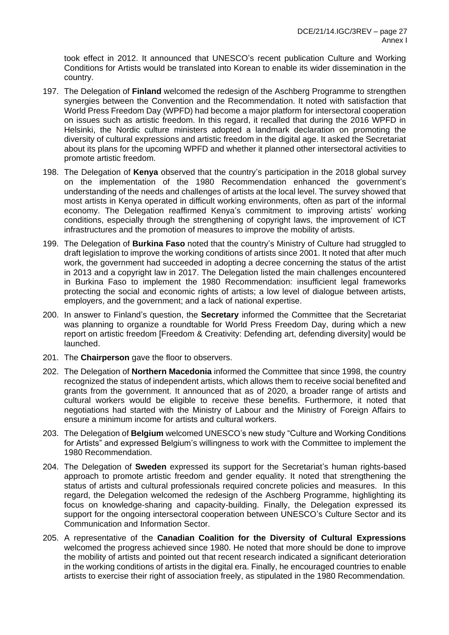took effect in 2012. It announced that UNESCO's recent publication Culture and Working Conditions for Artists would be translated into Korean to enable its wider dissemination in the country.

- 197. The Delegation of **Finland** welcomed the redesign of the Aschberg Programme to strengthen synergies between the Convention and the Recommendation. It noted with satisfaction that World Press Freedom Day (WPFD) had become a major platform for intersectoral cooperation on issues such as artistic freedom. In this regard, it recalled that during the 2016 WPFD in Helsinki, the Nordic culture ministers adopted a landmark declaration on promoting the diversity of cultural expressions and artistic freedom in the digital age. It asked the Secretariat about its plans for the upcoming WPFD and whether it planned other intersectoral activities to promote artistic freedom.
- 198. The Delegation of **Kenya** observed that the country's participation in the 2018 global survey on the implementation of the 1980 Recommendation enhanced the government's understanding of the needs and challenges of artists at the local level. The survey showed that most artists in Kenya operated in difficult working environments, often as part of the informal economy. The Delegation reaffirmed Kenya's commitment to improving artists' working conditions, especially through the strengthening of copyright laws, the improvement of ICT infrastructures and the promotion of measures to improve the mobility of artists.
- 199. The Delegation of **Burkina Faso** noted that the country's Ministry of Culture had struggled to draft legislation to improve the working conditions of artists since 2001. It noted that after much work, the government had succeeded in adopting a decree concerning the status of the artist in 2013 and a copyright law in 2017. The Delegation listed the main challenges encountered in Burkina Faso to implement the 1980 Recommendation: insufficient legal frameworks protecting the social and economic rights of artists; a low level of dialogue between artists, employers, and the government; and a lack of national expertise.
- 200. In answer to Finland's question, the **Secretary** informed the Committee that the Secretariat was planning to organize a roundtable for World Press Freedom Day, during which a new report on artistic freedom [Freedom & Creativity: Defending art, defending diversity] would be launched.
- 201. The **Chairperson** gave the floor to observers.
- 202. The Delegation of **Northern Macedonia** informed the Committee that since 1998, the country recognized the status of independent artists, which allows them to receive social benefited and grants from the government. It announced that as of 2020, a broader range of artists and cultural workers would be eligible to receive these benefits. Furthermore, it noted that negotiations had started with the Ministry of Labour and the Ministry of Foreign Affairs to ensure a minimum income for artists and cultural workers.
- 203. The Delegation of **Belgium** welcomed UNESCO's new study "Culture and Working Conditions for Artists" and expressed Belgium's willingness to work with the Committee to implement the 1980 Recommendation.
- 204. The Delegation of **Sweden** expressed its support for the Secretariat's human rights-based approach to promote artistic freedom and gender equality. It noted that strengthening the status of artists and cultural professionals required concrete policies and measures. In this regard, the Delegation welcomed the redesign of the Aschberg Programme, highlighting its focus on knowledge-sharing and capacity-building. Finally, the Delegation expressed its support for the ongoing intersectoral cooperation between UNESCO's Culture Sector and its Communication and Information Sector.
- 205. A representative of the **Canadian Coalition for the Diversity of Cultural Expressions** welcomed the progress achieved since 1980. He noted that more should be done to improve the mobility of artists and pointed out that recent research indicated a significant deterioration in the working conditions of artists in the digital era. Finally, he encouraged countries to enable artists to exercise their right of association freely, as stipulated in the 1980 Recommendation.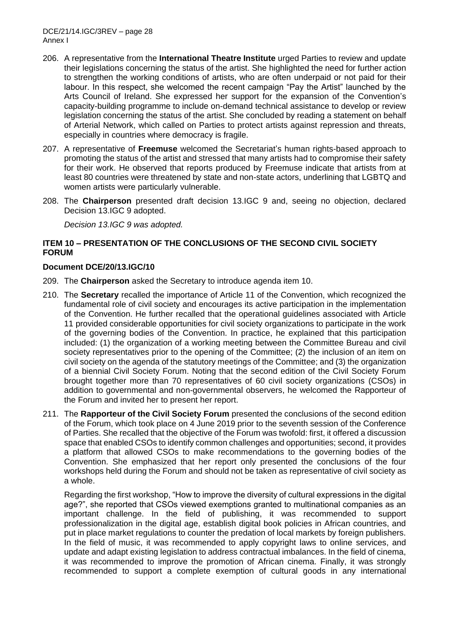DCE/21/14.IGC/3REV – page 28 Annex I

- 206. A representative from the **International Theatre Institute** urged Parties to review and update their legislations concerning the status of the artist. She highlighted the need for further action to strengthen the working conditions of artists, who are often underpaid or not paid for their labour. In this respect, she welcomed the recent campaign "Pay the Artist" launched by the Arts Council of Ireland. She expressed her support for the expansion of the Convention's capacity-building programme to include on-demand technical assistance to develop or review legislation concerning the status of the artist. She concluded by reading a statement on behalf of Arterial Network, which called on Parties to protect artists against repression and threats, especially in countries where democracy is fragile.
- 207. A representative of **Freemuse** welcomed the Secretariat's human rights-based approach to promoting the status of the artist and stressed that many artists had to compromise their safety for their work. He observed that reports produced by Freemuse indicate that artists from at least 80 countries were threatened by state and non-state actors, underlining that LGBTQ and women artists were particularly vulnerable.
- 208. The **Chairperson** presented draft decision 13.IGC 9 and, seeing no objection, declared Decision 13.IGC 9 adopted.

*Decision 13.IGC 9 was adopted.*

## **ITEM 10 – PRESENTATION OF THE CONCLUSIONS OF THE SECOND CIVIL SOCIETY FORUM**

#### **Document DCE/20/13.IGC/10**

- 209. The **Chairperson** asked the Secretary to introduce agenda item 10.
- 210. The **Secretary** recalled the importance of Article 11 of the Convention, which recognized the fundamental role of civil society and encourages its active participation in the implementation of the Convention. He further recalled that the operational guidelines associated with Article 11 provided considerable opportunities for civil society organizations to participate in the work of the governing bodies of the Convention. In practice, he explained that this participation included: (1) the organization of a working meeting between the Committee Bureau and civil society representatives prior to the opening of the Committee; (2) the inclusion of an item on civil society on the agenda of the statutory meetings of the Committee; and (3) the organization of a biennial Civil Society Forum. Noting that the second edition of the Civil Society Forum brought together more than 70 representatives of 60 civil society organizations (CSOs) in addition to governmental and non-governmental observers, he welcomed the Rapporteur of the Forum and invited her to present her report.
- 211. The **Rapporteur of the Civil Society Forum** presented the conclusions of the second edition of the Forum, which took place on 4 June 2019 prior to the seventh session of the Conference of Parties. She recalled that the objective of the Forum was twofold: first, it offered a discussion space that enabled CSOs to identify common challenges and opportunities; second, it provides a platform that allowed CSOs to make recommendations to the governing bodies of the Convention. She emphasized that her report only presented the conclusions of the four workshops held during the Forum and should not be taken as representative of civil society as a whole.

Regarding the first workshop, "How to improve the diversity of cultural expressions in the digital age?", she reported that CSOs viewed exemptions granted to multinational companies as an important challenge. In the field of publishing, it was recommended to support professionalization in the digital age, establish digital book policies in African countries, and put in place market regulations to counter the predation of local markets by foreign publishers. In the field of music, it was recommended to apply copyright laws to online services, and update and adapt existing legislation to address contractual imbalances. In the field of cinema, it was recommended to improve the promotion of African cinema. Finally, it was strongly recommended to support a complete exemption of cultural goods in any international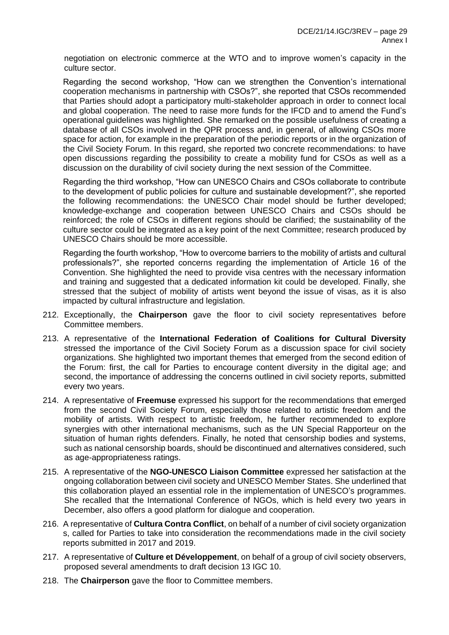negotiation on electronic commerce at the WTO and to improve women's capacity in the culture sector.

Regarding the second workshop, "How can we strengthen the Convention's international cooperation mechanisms in partnership with CSOs?", she reported that CSOs recommended that Parties should adopt a participatory multi-stakeholder approach in order to connect local and global cooperation. The need to raise more funds for the IFCD and to amend the Fund's operational guidelines was highlighted. She remarked on the possible usefulness of creating a database of all CSOs involved in the QPR process and, in general, of allowing CSOs more space for action, for example in the preparation of the periodic reports or in the organization of the Civil Society Forum. In this regard, she reported two concrete recommendations: to have open discussions regarding the possibility to create a mobility fund for CSOs as well as a discussion on the durability of civil society during the next session of the Committee.

Regarding the third workshop, "How can UNESCO Chairs and CSOs collaborate to contribute to the development of public policies for culture and sustainable development?", she reported the following recommendations: the UNESCO Chair model should be further developed; knowledge-exchange and cooperation between UNESCO Chairs and CSOs should be reinforced; the role of CSOs in different regions should be clarified; the sustainability of the culture sector could be integrated as a key point of the next Committee; research produced by UNESCO Chairs should be more accessible.

Regarding the fourth workshop, "How to overcome barriers to the mobility of artists and cultural professionals?", she reported concerns regarding the implementation of Article 16 of the Convention. She highlighted the need to provide visa centres with the necessary information and training and suggested that a dedicated information kit could be developed. Finally, she stressed that the subject of mobility of artists went beyond the issue of visas, as it is also impacted by cultural infrastructure and legislation.

- 212. Exceptionally, the **Chairperson** gave the floor to civil society representatives before Committee members.
- 213. A representative of the **International Federation of Coalitions for Cultural Diversity** stressed the importance of the Civil Society Forum as a discussion space for civil society organizations. She highlighted two important themes that emerged from the second edition of the Forum: first, the call for Parties to encourage content diversity in the digital age; and second, the importance of addressing the concerns outlined in civil society reports, submitted every two years.
- 214. A representative of **Freemuse** expressed his support for the recommendations that emerged from the second Civil Society Forum, especially those related to artistic freedom and the mobility of artists. With respect to artistic freedom, he further recommended to explore synergies with other international mechanisms, such as the UN Special Rapporteur on the situation of human rights defenders. Finally, he noted that censorship bodies and systems, such as national censorship boards, should be discontinued and alternatives considered, such as age-appropriateness ratings.
- 215. A representative of the **NGO-UNESCO Liaison Committee** expressed her satisfaction at the ongoing collaboration between civil society and UNESCO Member States. She underlined that this collaboration played an essential role in the implementation of UNESCO's programmes. She recalled that the International Conference of NGOs, which is held every two years in December, also offers a good platform for dialogue and cooperation.
- 216. A representative of **Cultura Contra Conflict**, on behalf of a number of civil society organization s, called for Parties to take into consideration the recommendations made in the civil society reports submitted in 2017 and 2019.
- 217. A representative of **Culture et Développement**, on behalf of a group of civil society observers, proposed several amendments to draft decision 13 IGC 10.
- 218. The **Chairperson** gave the floor to Committee members.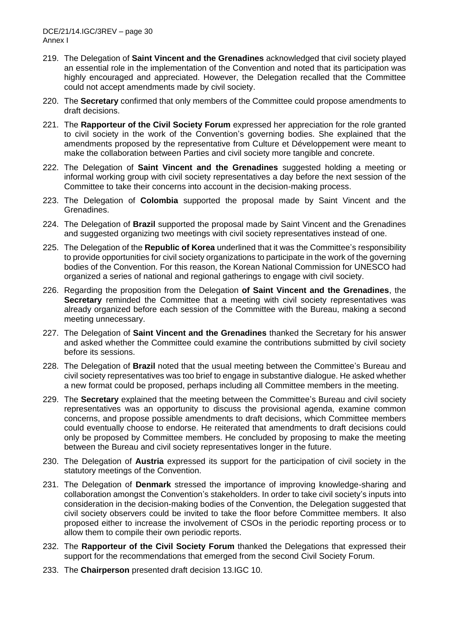- 219. The Delegation of **Saint Vincent and the Grenadines** acknowledged that civil society played an essential role in the implementation of the Convention and noted that its participation was highly encouraged and appreciated. However, the Delegation recalled that the Committee could not accept amendments made by civil society.
- 220. The **Secretary** confirmed that only members of the Committee could propose amendments to draft decisions.
- 221. The **Rapporteur of the Civil Society Forum** expressed her appreciation for the role granted to civil society in the work of the Convention's governing bodies. She explained that the amendments proposed by the representative from Culture et Développement were meant to make the collaboration between Parties and civil society more tangible and concrete.
- 222. The Delegation of **Saint Vincent and the Grenadines** suggested holding a meeting or informal working group with civil society representatives a day before the next session of the Committee to take their concerns into account in the decision-making process.
- 223. The Delegation of **Colombia** supported the proposal made by Saint Vincent and the Grenadines.
- 224. The Delegation of **Brazil** supported the proposal made by Saint Vincent and the Grenadines and suggested organizing two meetings with civil society representatives instead of one.
- 225. The Delegation of the **Republic of Korea** underlined that it was the Committee's responsibility to provide opportunities for civil society organizations to participate in the work of the governing bodies of the Convention. For this reason, the Korean National Commission for UNESCO had organized a series of national and regional gatherings to engage with civil society.
- 226. Regarding the proposition from the Delegation **of Saint Vincent and the Grenadines**, the **Secretary** reminded the Committee that a meeting with civil society representatives was already organized before each session of the Committee with the Bureau, making a second meeting unnecessary.
- 227. The Delegation of **Saint Vincent and the Grenadines** thanked the Secretary for his answer and asked whether the Committee could examine the contributions submitted by civil society before its sessions.
- 228. The Delegation of **Brazil** noted that the usual meeting between the Committee's Bureau and civil society representatives was too brief to engage in substantive dialogue. He asked whether a new format could be proposed, perhaps including all Committee members in the meeting.
- 229. The **Secretary** explained that the meeting between the Committee's Bureau and civil society representatives was an opportunity to discuss the provisional agenda, examine common concerns, and propose possible amendments to draft decisions, which Committee members could eventually choose to endorse. He reiterated that amendments to draft decisions could only be proposed by Committee members. He concluded by proposing to make the meeting between the Bureau and civil society representatives longer in the future.
- 230. The Delegation of **Austria** expressed its support for the participation of civil society in the statutory meetings of the Convention.
- 231. The Delegation of **Denmark** stressed the importance of improving knowledge-sharing and collaboration amongst the Convention's stakeholders. In order to take civil society's inputs into consideration in the decision-making bodies of the Convention, the Delegation suggested that civil society observers could be invited to take the floor before Committee members. It also proposed either to increase the involvement of CSOs in the periodic reporting process or to allow them to compile their own periodic reports.
- 232. The **Rapporteur of the Civil Society Forum** thanked the Delegations that expressed their support for the recommendations that emerged from the second Civil Society Forum.
- 233. The **Chairperson** presented draft decision 13.IGC 10.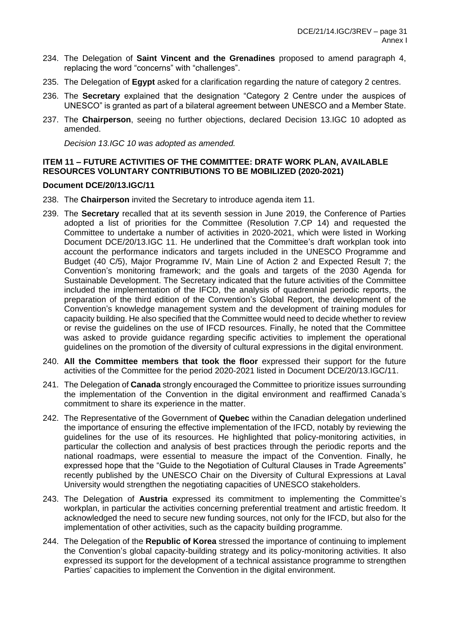- 234. The Delegation of **Saint Vincent and the Grenadines** proposed to amend paragraph 4, replacing the word "concerns" with "challenges".
- 235. The Delegation of **Egypt** asked for a clarification regarding the nature of category 2 centres.
- 236. The **Secretary** explained that the designation "Category 2 Centre under the auspices of UNESCO" is granted as part of a bilateral agreement between UNESCO and a Member State.
- 237. The **Chairperson**, seeing no further objections, declared Decision 13.IGC 10 adopted as amended.

*Decision 13.IGC 10 was adopted as amended.* 

## **ITEM 11 – FUTURE ACTIVITIES OF THE COMMITTEE: DRATF WORK PLAN, AVAILABLE RESOURCES VOLUNTARY CONTRIBUTIONS TO BE MOBILIZED (2020-2021)**

### **Document DCE/20/13.IGC/11**

- 238. The **Chairperson** invited the Secretary to introduce agenda item 11.
- 239. The **Secretary** recalled that at its seventh session in June 2019, the Conference of Parties adopted a list of priorities for the Committee (Resolution 7.CP 14) and requested the Committee to undertake a number of activities in 2020-2021, which were listed in Working Document DCE/20/13.IGC 11. He underlined that the Committee's draft workplan took into account the performance indicators and targets included in the UNESCO Programme and Budget (40 C/5), Major Programme IV, Main Line of Action 2 and Expected Result 7; the Convention's monitoring framework; and the goals and targets of the 2030 Agenda for Sustainable Development. The Secretary indicated that the future activities of the Committee included the implementation of the IFCD, the analysis of quadrennial periodic reports, the preparation of the third edition of the Convention's Global Report, the development of the Convention's knowledge management system and the development of training modules for capacity building. He also specified that the Committee would need to decide whether to review or revise the guidelines on the use of IFCD resources. Finally, he noted that the Committee was asked to provide guidance regarding specific activities to implement the operational guidelines on the promotion of the diversity of cultural expressions in the digital environment.
- 240. **All the Committee members that took the floor** expressed their support for the future activities of the Committee for the period 2020-2021 listed in Document DCE/20/13.IGC/11.
- 241. The Delegation of **Canada** strongly encouraged the Committee to prioritize issues surrounding the implementation of the Convention in the digital environment and reaffirmed Canada's commitment to share its experience in the matter.
- 242. The Representative of the Government of **Quebec** within the Canadian delegation underlined the importance of ensuring the effective implementation of the IFCD, notably by reviewing the guidelines for the use of its resources. He highlighted that policy-monitoring activities, in particular the collection and analysis of best practices through the periodic reports and the national roadmaps, were essential to measure the impact of the Convention. Finally, he expressed hope that the "Guide to the Negotiation of Cultural Clauses in Trade Agreements" recently published by the UNESCO Chair on the Diversity of Cultural Expressions at Laval University would strengthen the negotiating capacities of UNESCO stakeholders.
- 243. The Delegation of **Austria** expressed its commitment to implementing the Committee's workplan, in particular the activities concerning preferential treatment and artistic freedom. It acknowledged the need to secure new funding sources, not only for the IFCD, but also for the implementation of other activities, such as the capacity building programme.
- 244. The Delegation of the **Republic of Korea** stressed the importance of continuing to implement the Convention's global capacity-building strategy and its policy-monitoring activities. It also expressed its support for the development of a technical assistance programme to strengthen Parties' capacities to implement the Convention in the digital environment.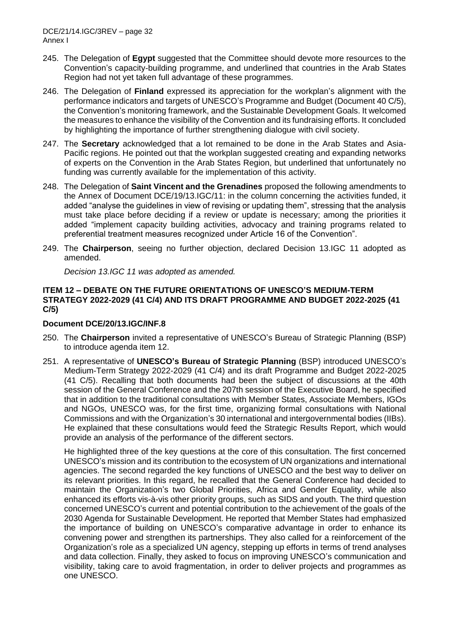- 245. The Delegation of **Egypt** suggested that the Committee should devote more resources to the Convention's capacity-building programme, and underlined that countries in the Arab States Region had not yet taken full advantage of these programmes.
- 246. The Delegation of **Finland** expressed its appreciation for the workplan's alignment with the performance indicators and targets of UNESCO's Programme and Budget (Document 40 C/5), the Convention's monitoring framework, and the Sustainable Development Goals. It welcomed the measures to enhance the visibility of the Convention and its fundraising efforts. It concluded by highlighting the importance of further strengthening dialogue with civil society.
- 247. The **Secretary** acknowledged that a lot remained to be done in the Arab States and Asia-Pacific regions. He pointed out that the workplan suggested creating and expanding networks of experts on the Convention in the Arab States Region, but underlined that unfortunately no funding was currently available for the implementation of this activity.
- 248. The Delegation of **Saint Vincent and the Grenadines** proposed the following amendments to the Annex of Document DCE/19/13.IGC/11: in the column concerning the activities funded, it added "analyse the guidelines in view of revising or updating them", stressing that the analysis must take place before deciding if a review or update is necessary; among the priorities it added "implement capacity building activities, advocacy and training programs related to preferential treatment measures recognized under Article 16 of the Convention".
- 249. The **Chairperson**, seeing no further objection, declared Decision 13.IGC 11 adopted as amended.

*Decision 13.IGC 11 was adopted as amended.*

## **ITEM 12 – DEBATE ON THE FUTURE ORIENTATIONS OF UNESCO'S MEDIUM-TERM STRATEGY 2022-2029 (41 C/4) AND ITS DRAFT PROGRAMME AND BUDGET 2022-2025 (41 C/5)**

## **Document DCE/20/13.IGC/INF.8**

- 250. The **Chairperson** invited a representative of UNESCO's Bureau of Strategic Planning (BSP) to introduce agenda item 12.
- 251. A representative of **UNESCO's Bureau of Strategic Planning** (BSP) introduced UNESCO's Medium-Term Strategy 2022-2029 (41 C/4) and its draft Programme and Budget 2022-2025 (41 C/5). Recalling that both documents had been the subject of discussions at the 40th session of the General Conference and the 207th session of the Executive Board, he specified that in addition to the traditional consultations with Member States, Associate Members, IGOs and NGOs, UNESCO was, for the first time, organizing formal consultations with National Commissions and with the Organization's 30 international and intergovernmental bodies (IIBs). He explained that these consultations would feed the Strategic Results Report, which would provide an analysis of the performance of the different sectors.

He highlighted three of the key questions at the core of this consultation. The first concerned UNESCO's mission and its contribution to the ecosystem of UN organizations and international agencies. The second regarded the key functions of UNESCO and the best way to deliver on its relevant priorities. In this regard, he recalled that the General Conference had decided to maintain the Organization's two Global Priorities, Africa and Gender Equality, while also enhanced its efforts vis-à-vis other priority groups, such as SIDS and youth. The third question concerned UNESCO's current and potential contribution to the achievement of the goals of the 2030 Agenda for Sustainable Development. He reported that Member States had emphasized the importance of building on UNESCO's comparative advantage in order to enhance its convening power and strengthen its partnerships. They also called for a reinforcement of the Organization's role as a specialized UN agency, stepping up efforts in terms of trend analyses and data collection. Finally, they asked to focus on improving UNESCO's communication and visibility, taking care to avoid fragmentation, in order to deliver projects and programmes as one UNESCO.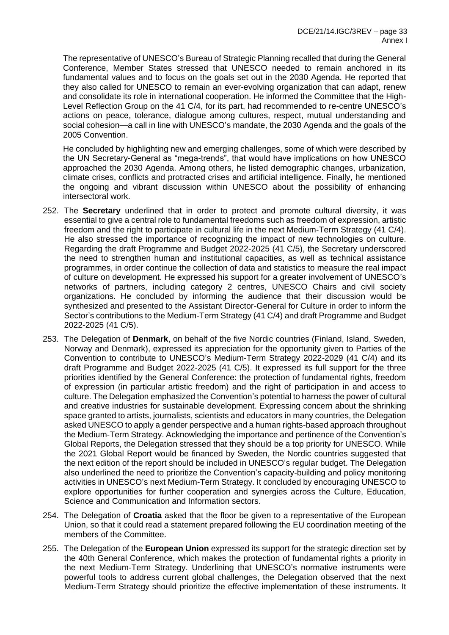The representative of UNESCO's Bureau of Strategic Planning recalled that during the General Conference, Member States stressed that UNESCO needed to remain anchored in its fundamental values and to focus on the goals set out in the 2030 Agenda. He reported that they also called for UNESCO to remain an ever-evolving organization that can adapt, renew and consolidate its role in international cooperation. He informed the Committee that the High-Level Reflection Group on the 41 C/4, for its part, had recommended to re-centre UNESCO's actions on peace, tolerance, dialogue among cultures, respect, mutual understanding and social cohesion—a call in line with UNESCO's mandate, the 2030 Agenda and the goals of the 2005 Convention.

He concluded by highlighting new and emerging challenges, some of which were described by the UN Secretary-General as "mega-trends", that would have implications on how UNESCO approached the 2030 Agenda. Among others, he listed demographic changes, urbanization, climate crises, conflicts and protracted crises and artificial intelligence. Finally, he mentioned the ongoing and vibrant discussion within UNESCO about the possibility of enhancing intersectoral work.

- 252. The **Secretary** underlined that in order to protect and promote cultural diversity, it was essential to give a central role to fundamental freedoms such as freedom of expression, artistic freedom and the right to participate in cultural life in the next Medium-Term Strategy (41 C/4). He also stressed the importance of recognizing the impact of new technologies on culture. Regarding the draft Programme and Budget 2022-2025 (41 C/5), the Secretary underscored the need to strengthen human and institutional capacities, as well as technical assistance programmes, in order continue the collection of data and statistics to measure the real impact of culture on development. He expressed his support for a greater involvement of UNESCO's networks of partners, including category 2 centres, UNESCO Chairs and civil society organizations. He concluded by informing the audience that their discussion would be synthesized and presented to the Assistant Director-General for Culture in order to inform the Sector's contributions to the Medium-Term Strategy (41 C/4) and draft Programme and Budget 2022-2025 (41 C/5).
- 253. The Delegation of **Denmark**, on behalf of the five Nordic countries (Finland, Island, Sweden, Norway and Denmark), expressed its appreciation for the opportunity given to Parties of the Convention to contribute to UNESCO's Medium-Term Strategy 2022-2029 (41 C/4) and its draft Programme and Budget 2022-2025 (41 C/5). It expressed its full support for the three priorities identified by the General Conference: the protection of fundamental rights, freedom of expression (in particular artistic freedom) and the right of participation in and access to culture. The Delegation emphasized the Convention's potential to harness the power of cultural and creative industries for sustainable development. Expressing concern about the shrinking space granted to artists, journalists, scientists and educators in many countries, the Delegation asked UNESCO to apply a gender perspective and a human rights-based approach throughout the Medium-Term Strategy. Acknowledging the importance and pertinence of the Convention's Global Reports, the Delegation stressed that they should be a top priority for UNESCO. While the 2021 Global Report would be financed by Sweden, the Nordic countries suggested that the next edition of the report should be included in UNESCO's regular budget. The Delegation also underlined the need to prioritize the Convention's capacity-building and policy monitoring activities in UNESCO's next Medium-Term Strategy. It concluded by encouraging UNESCO to explore opportunities for further cooperation and synergies across the Culture, Education, Science and Communication and Information sectors.
- 254. The Delegation of **Croatia** asked that the floor be given to a representative of the European Union, so that it could read a statement prepared following the EU coordination meeting of the members of the Committee.
- 255. The Delegation of the **European Union** expressed its support for the strategic direction set by the 40th General Conference, which makes the protection of fundamental rights a priority in the next Medium-Term Strategy. Underlining that UNESCO's normative instruments were powerful tools to address current global challenges, the Delegation observed that the next Medium-Term Strategy should prioritize the effective implementation of these instruments. It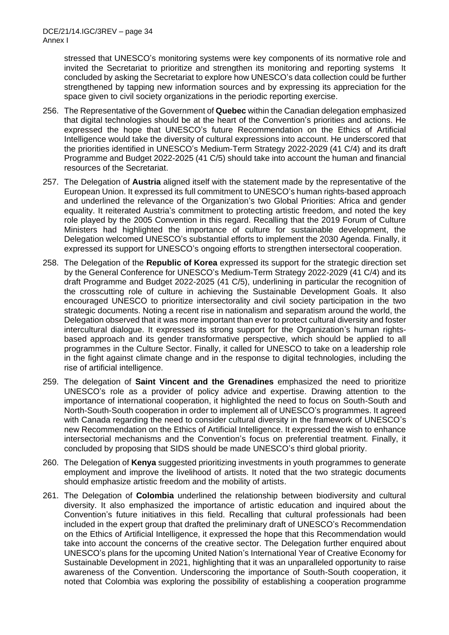stressed that UNESCO's monitoring systems were key components of its normative role and invited the Secretariat to prioritize and strengthen its monitoring and reporting systems It concluded by asking the Secretariat to explore how UNESCO's data collection could be further strengthened by tapping new information sources and by expressing its appreciation for the space given to civil society organizations in the periodic reporting exercise.

- 256. The Representative of the Government of **Quebec** within the Canadian delegation emphasized that digital technologies should be at the heart of the Convention's priorities and actions. He expressed the hope that UNESCO's future Recommendation on the Ethics of Artificial Intelligence would take the diversity of cultural expressions into account. He underscored that the priorities identified in UNESCO's Medium-Term Strategy 2022-2029 (41 C/4) and its draft Programme and Budget 2022-2025 (41 C/5) should take into account the human and financial resources of the Secretariat.
- 257. The Delegation of **Austria** aligned itself with the statement made by the representative of the European Union. It expressed its full commitment to UNESCO's human rights-based approach and underlined the relevance of the Organization's two Global Priorities: Africa and gender equality. It reiterated Austria's commitment to protecting artistic freedom, and noted the key role played by the 2005 Convention in this regard. Recalling that the 2019 Forum of Culture Ministers had highlighted the importance of culture for sustainable development, the Delegation welcomed UNESCO's substantial efforts to implement the 2030 Agenda. Finally, it expressed its support for UNESCO's ongoing efforts to strengthen intersectoral cooperation.
- 258. The Delegation of the **Republic of Korea** expressed its support for the strategic direction set by the General Conference for UNESCO's Medium-Term Strategy 2022-2029 (41 C/4) and its draft Programme and Budget 2022-2025 (41 C/5), underlining in particular the recognition of the crosscutting role of culture in achieving the Sustainable Development Goals. It also encouraged UNESCO to prioritize intersectorality and civil society participation in the two strategic documents. Noting a recent rise in nationalism and separatism around the world, the Delegation observed that it was more important than ever to protect cultural diversity and foster intercultural dialogue. It expressed its strong support for the Organization's human rightsbased approach and its gender transformative perspective, which should be applied to all programmes in the Culture Sector. Finally, it called for UNESCO to take on a leadership role in the fight against climate change and in the response to digital technologies, including the rise of artificial intelligence.
- 259. The delegation of **Saint Vincent and the Grenadines** emphasized the need to prioritize UNESCO's role as a provider of policy advice and expertise. Drawing attention to the importance of international cooperation, it highlighted the need to focus on South-South and North-South-South cooperation in order to implement all of UNESCO's programmes. It agreed with Canada regarding the need to consider cultural diversity in the framework of UNESCO's new Recommendation on the Ethics of Artificial Intelligence. It expressed the wish to enhance intersectorial mechanisms and the Convention's focus on preferential treatment. Finally, it concluded by proposing that SIDS should be made UNESCO's third global priority.
- 260. The Delegation of **Kenya** suggested prioritizing investments in youth programmes to generate employment and improve the livelihood of artists. It noted that the two strategic documents should emphasize artistic freedom and the mobility of artists.
- 261. The Delegation of **Colombia** underlined the relationship between biodiversity and cultural diversity. It also emphasized the importance of artistic education and inquired about the Convention's future initiatives in this field. Recalling that cultural professionals had been included in the expert group that drafted the preliminary draft of UNESCO's Recommendation on the Ethics of Artificial Intelligence, it expressed the hope that this Recommendation would take into account the concerns of the creative sector. The Delegation further enquired about UNESCO's plans for the upcoming United Nation's International Year of Creative Economy for Sustainable Development in 2021, highlighting that it was an unparalleled opportunity to raise awareness of the Convention. Underscoring the importance of South-South cooperation, it noted that Colombia was exploring the possibility of establishing a cooperation programme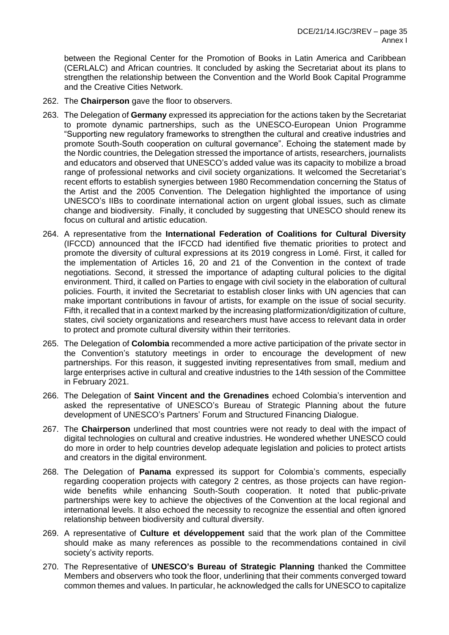between the Regional Center for the Promotion of Books in Latin America and Caribbean (CERLALC) and African countries. It concluded by asking the Secretariat about its plans to strengthen the relationship between the Convention and the World Book Capital Programme and the Creative Cities Network.

- 262. The **Chairperson** gave the floor to observers.
- 263. The Delegation of **Germany** expressed its appreciation for the actions taken by the Secretariat to promote dynamic partnerships, such as the UNESCO-European Union Programme "Supporting new regulatory frameworks to strengthen the cultural and creative industries and promote South-South cooperation on cultural governance". Echoing the statement made by the Nordic countries, the Delegation stressed the importance of artists, researchers, journalists and educators and observed that UNESCO's added value was its capacity to mobilize a broad range of professional networks and civil society organizations. It welcomed the Secretariat's recent efforts to establish synergies between 1980 Recommendation concerning the Status of the Artist and the 2005 Convention. The Delegation highlighted the importance of using UNESCO's IIBs to coordinate international action on urgent global issues, such as climate change and biodiversity. Finally, it concluded by suggesting that UNESCO should renew its focus on cultural and artistic education.
- 264. A representative from the **International Federation of Coalitions for Cultural Diversity** (IFCCD) announced that the IFCCD had identified five thematic priorities to protect and promote the diversity of cultural expressions at its 2019 congress in Lomé. First, it called for the implementation of Articles 16, 20 and 21 of the Convention in the context of trade negotiations. Second, it stressed the importance of adapting cultural policies to the digital environment. Third, it called on Parties to engage with civil society in the elaboration of cultural policies. Fourth, it invited the Secretariat to establish closer links with UN agencies that can make important contributions in favour of artists, for example on the issue of social security. Fifth, it recalled that in a context marked by the increasing platformization/digitization of culture, states, civil society organizations and researchers must have access to relevant data in order to protect and promote cultural diversity within their territories.
- 265. The Delegation of **Colombia** recommended a more active participation of the private sector in the Convention's statutory meetings in order to encourage the development of new partnerships. For this reason, it suggested inviting representatives from small, medium and large enterprises active in cultural and creative industries to the 14th session of the Committee in February 2021.
- 266. The Delegation of **Saint Vincent and the Grenadines** echoed Colombia's intervention and asked the representative of UNESCO's Bureau of Strategic Planning about the future development of UNESCO's Partners' Forum and Structured Financing Dialogue.
- 267. The **Chairperson** underlined that most countries were not ready to deal with the impact of digital technologies on cultural and creative industries. He wondered whether UNESCO could do more in order to help countries develop adequate legislation and policies to protect artists and creators in the digital environment.
- 268. The Delegation of **Panama** expressed its support for Colombia's comments, especially regarding cooperation projects with category 2 centres, as those projects can have regionwide benefits while enhancing South-South cooperation. It noted that public-private partnerships were key to achieve the objectives of the Convention at the local regional and international levels. It also echoed the necessity to recognize the essential and often ignored relationship between biodiversity and cultural diversity.
- 269. A representative of **Culture et développement** said that the work plan of the Committee should make as many references as possible to the recommendations contained in civil society's activity reports.
- 270. The Representative of **UNESCO's Bureau of Strategic Planning** thanked the Committee Members and observers who took the floor, underlining that their comments converged toward common themes and values. In particular, he acknowledged the calls for UNESCO to capitalize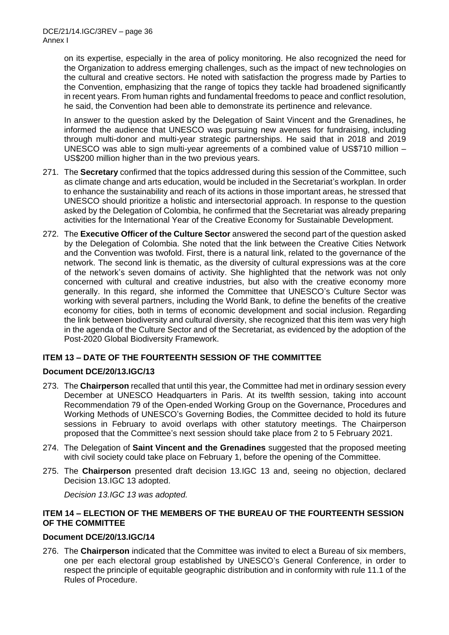on its expertise, especially in the area of policy monitoring. He also recognized the need for the Organization to address emerging challenges, such as the impact of new technologies on the cultural and creative sectors. He noted with satisfaction the progress made by Parties to the Convention, emphasizing that the range of topics they tackle had broadened significantly in recent years. From human rights and fundamental freedoms to peace and conflict resolution, he said, the Convention had been able to demonstrate its pertinence and relevance.

In answer to the question asked by the Delegation of Saint Vincent and the Grenadines, he informed the audience that UNESCO was pursuing new avenues for fundraising, including through multi-donor and multi-year strategic partnerships. He said that in 2018 and 2019 UNESCO was able to sign multi-year agreements of a combined value of US\$710 million – US\$200 million higher than in the two previous years.

- 271. The **Secretary** confirmed that the topics addressed during this session of the Committee, such as climate change and arts education, would be included in the Secretariat's workplan. In order to enhance the sustainability and reach of its actions in those important areas, he stressed that UNESCO should prioritize a holistic and intersectorial approach. In response to the question asked by the Delegation of Colombia, he confirmed that the Secretariat was already preparing activities for the International Year of the Creative Economy for Sustainable Development.
- 272. The **Executive Officer of the Culture Sector** answered the second part of the question asked by the Delegation of Colombia. She noted that the link between the Creative Cities Network and the Convention was twofold. First, there is a natural link, related to the governance of the network. The second link is thematic, as the diversity of cultural expressions was at the core of the network's seven domains of activity. She highlighted that the network was not only concerned with cultural and creative industries, but also with the creative economy more generally. In this regard, she informed the Committee that UNESCO's Culture Sector was working with several partners, including the World Bank, to define the benefits of the creative economy for cities, both in terms of economic development and social inclusion. Regarding the link between biodiversity and cultural diversity, she recognized that this item was very high in the agenda of the Culture Sector and of the Secretariat, as evidenced by the adoption of the Post-2020 Global Biodiversity Framework.

# **ITEM 13 – DATE OF THE FOURTEENTH SESSION OF THE COMMITTEE**

## **Document DCE/20/13.IGC/13**

- 273. The **Chairperson** recalled that until this year, the Committee had met in ordinary session every December at UNESCO Headquarters in Paris. At its twelfth session, taking into account Recommendation 79 of the Open-ended Working Group on the Governance, Procedures and Working Methods of UNESCO's Governing Bodies, the Committee decided to hold its future sessions in February to avoid overlaps with other statutory meetings. The Chairperson proposed that the Committee's next session should take place from 2 to 5 February 2021.
- 274. The Delegation of **Saint Vincent and the Grenadines** suggested that the proposed meeting with civil society could take place on February 1, before the opening of the Committee.
- 275. The **Chairperson** presented draft decision 13.IGC 13 and, seeing no objection, declared Decision 13.IGC 13 adopted.

*Decision 13.IGC 13 was adopted.* 

## **ITEM 14 – ELECTION OF THE MEMBERS OF THE BUREAU OF THE FOURTEENTH SESSION OF THE COMMITTEE**

## **Document DCE/20/13.IGC/14**

276. The **Chairperson** indicated that the Committee was invited to elect a Bureau of six members, one per each electoral group established by UNESCO's General Conference, in order to respect the principle of equitable geographic distribution and in conformity with rule 11.1 of the Rules of Procedure.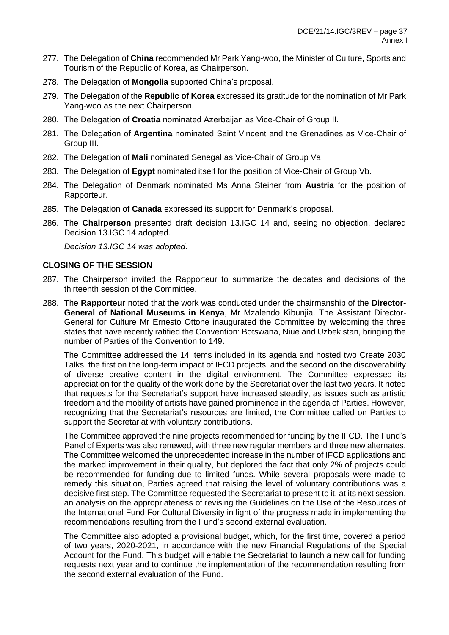- 277. The Delegation of **China** recommended Mr Park Yang-woo, the Minister of Culture, Sports and Tourism of the Republic of Korea, as Chairperson.
- 278. The Delegation of **Mongolia** supported China's proposal.
- 279. The Delegation of the **Republic of Korea** expressed its gratitude for the nomination of Mr Park Yang-woo as the next Chairperson.
- 280. The Delegation of **Croatia** nominated Azerbaijan as Vice-Chair of Group II.
- 281. The Delegation of **Argentina** nominated Saint Vincent and the Grenadines as Vice-Chair of Group III.
- 282. The Delegation of **Mali** nominated Senegal as Vice-Chair of Group Va.
- 283. The Delegation of **Egypt** nominated itself for the position of Vice-Chair of Group Vb.
- 284. The Delegation of Denmark nominated Ms Anna Steiner from **Austria** for the position of Rapporteur.
- 285. The Delegation of **Canada** expressed its support for Denmark's proposal.
- 286. The **Chairperson** presented draft decision 13.IGC 14 and, seeing no objection, declared Decision 13.IGC 14 adopted.

*Decision 13.IGC 14 was adopted.* 

## **CLOSING OF THE SESSION**

- 287. The Chairperson invited the Rapporteur to summarize the debates and decisions of the thirteenth session of the Committee.
- 288. The **Rapporteur** noted that the work was conducted under the chairmanship of the **Director-General of National Museums in Kenya**, Mr Mzalendo Kibunjia. The Assistant Director-General for Culture Mr Ernesto Ottone inaugurated the Committee by welcoming the three states that have recently ratified the Convention: Botswana, Niue and Uzbekistan, bringing the number of Parties of the Convention to 149.

The Committee addressed the 14 items included in its agenda and hosted two Create 2030 Talks: the first on the long-term impact of IFCD projects, and the second on the discoverability of diverse creative content in the digital environment. The Committee expressed its appreciation for the quality of the work done by the Secretariat over the last two years. It noted that requests for the Secretariat's support have increased steadily, as issues such as artistic freedom and the mobility of artists have gained prominence in the agenda of Parties. However, recognizing that the Secretariat's resources are limited, the Committee called on Parties to support the Secretariat with voluntary contributions.

The Committee approved the nine projects recommended for funding by the IFCD. The Fund's Panel of Experts was also renewed, with three new regular members and three new alternates. The Committee welcomed the unprecedented increase in the number of IFCD applications and the marked improvement in their quality, but deplored the fact that only 2% of projects could be recommended for funding due to limited funds. While several proposals were made to remedy this situation, Parties agreed that raising the level of voluntary contributions was a decisive first step. The Committee requested the Secretariat to present to it, at its next session, an analysis on the appropriateness of revising the Guidelines on the Use of the Resources of the International Fund For Cultural Diversity in light of the progress made in implementing the recommendations resulting from the Fund's second external evaluation.

The Committee also adopted a provisional budget, which, for the first time, covered a period of two years, 2020-2021, in accordance with the new Financial Regulations of the Special Account for the Fund. This budget will enable the Secretariat to launch a new call for funding requests next year and to continue the implementation of the recommendation resulting from the second external evaluation of the Fund.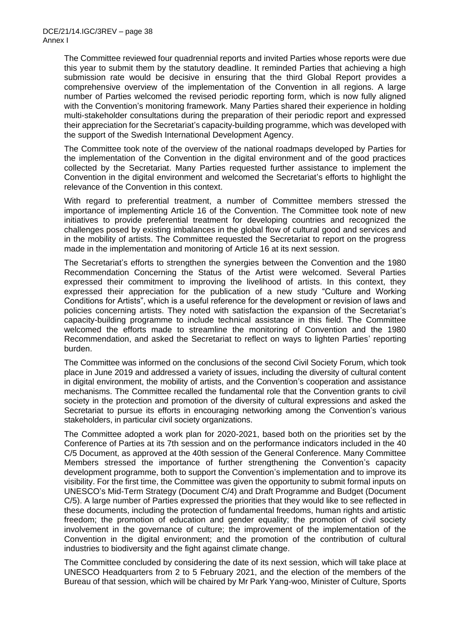The Committee reviewed four quadrennial reports and invited Parties whose reports were due this year to submit them by the statutory deadline. It reminded Parties that achieving a high submission rate would be decisive in ensuring that the third Global Report provides a comprehensive overview of the implementation of the Convention in all regions. A large number of Parties welcomed the revised periodic reporting form, which is now fully aligned with the Convention's monitoring framework. Many Parties shared their experience in holding multi-stakeholder consultations during the preparation of their periodic report and expressed their appreciation for the Secretariat's capacity-building programme, which was developed with the support of the Swedish International Development Agency.

The Committee took note of the overview of the national roadmaps developed by Parties for the implementation of the Convention in the digital environment and of the good practices collected by the Secretariat. Many Parties requested further assistance to implement the Convention in the digital environment and welcomed the Secretariat's efforts to highlight the relevance of the Convention in this context.

With regard to preferential treatment, a number of Committee members stressed the importance of implementing Article 16 of the Convention. The Committee took note of new initiatives to provide preferential treatment for developing countries and recognized the challenges posed by existing imbalances in the global flow of cultural good and services and in the mobility of artists. The Committee requested the Secretariat to report on the progress made in the implementation and monitoring of Article 16 at its next session.

The Secretariat's efforts to strengthen the synergies between the Convention and the 1980 Recommendation Concerning the Status of the Artist were welcomed. Several Parties expressed their commitment to improving the livelihood of artists. In this context, they expressed their appreciation for the publication of a new study "Culture and Working Conditions for Artists", which is a useful reference for the development or revision of laws and policies concerning artists. They noted with satisfaction the expansion of the Secretariat's capacity-building programme to include technical assistance in this field. The Committee welcomed the efforts made to streamline the monitoring of Convention and the 1980 Recommendation, and asked the Secretariat to reflect on ways to lighten Parties' reporting burden.

The Committee was informed on the conclusions of the second Civil Society Forum, which took place in June 2019 and addressed a variety of issues, including the diversity of cultural content in digital environment, the mobility of artists, and the Convention's cooperation and assistance mechanisms. The Committee recalled the fundamental role that the Convention grants to civil society in the protection and promotion of the diversity of cultural expressions and asked the Secretariat to pursue its efforts in encouraging networking among the Convention's various stakeholders, in particular civil society organizations.

The Committee adopted a work plan for 2020-2021, based both on the priorities set by the Conference of Parties at its 7th session and on the performance indicators included in the 40 C/5 Document, as approved at the 40th session of the General Conference. Many Committee Members stressed the importance of further strengthening the Convention's capacity development programme, both to support the Convention's implementation and to improve its visibility. For the first time, the Committee was given the opportunity to submit formal inputs on UNESCO's Mid-Term Strategy (Document C/4) and Draft Programme and Budget (Document C/5). A large number of Parties expressed the priorities that they would like to see reflected in these documents, including the protection of fundamental freedoms, human rights and artistic freedom; the promotion of education and gender equality; the promotion of civil society involvement in the governance of culture; the improvement of the implementation of the Convention in the digital environment; and the promotion of the contribution of cultural industries to biodiversity and the fight against climate change.

The Committee concluded by considering the date of its next session, which will take place at UNESCO Headquarters from 2 to 5 February 2021, and the election of the members of the Bureau of that session, which will be chaired by Mr Park Yang-woo, Minister of Culture, Sports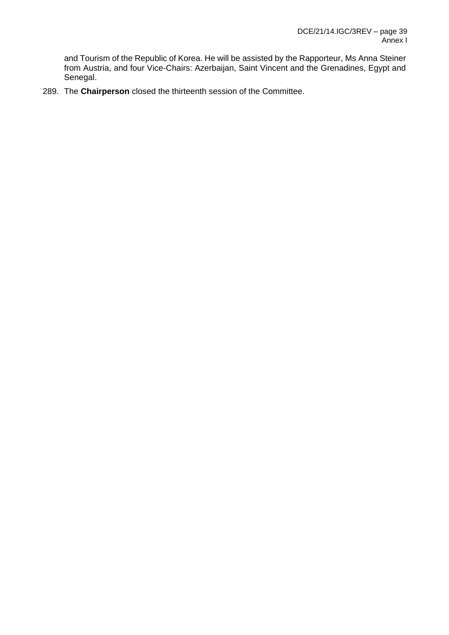and Tourism of the Republic of Korea. He will be assisted by the Rapporteur, Ms Anna Steiner from Austria, and four Vice-Chairs: Azerbaijan, Saint Vincent and the Grenadines, Egypt and Senegal.

289. The **Chairperson** closed the thirteenth session of the Committee.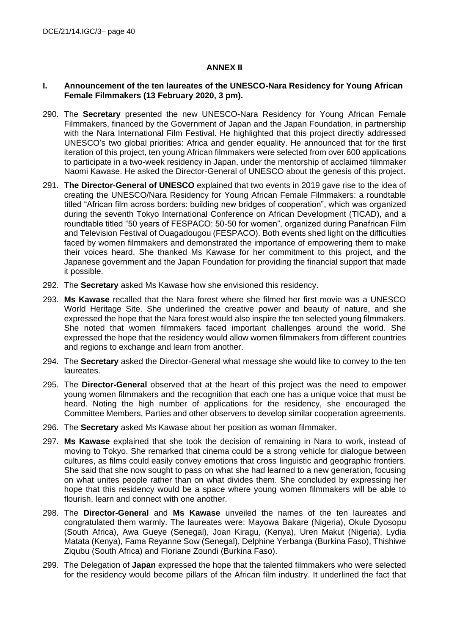## **ANNEX II**

### **I. Announcement of the ten laureates of the UNESCO-Nara Residency for Young African Female Filmmakers (13 February 2020, 3 pm).**

- 290. The **Secretary** presented the new UNESCO-Nara Residency for Young African Female Filmmakers, financed by the Government of Japan and the Japan Foundation, in partnership with the Nara International Film Festival. He highlighted that this project directly addressed UNESCO's two global priorities: Africa and gender equality. He announced that for the first iteration of this project, ten young African filmmakers were selected from over 600 applications to participate in a two-week residency in Japan, under the mentorship of acclaimed filmmaker Naomi Kawase. He asked the Director-General of UNESCO about the genesis of this project.
- 291. **The Director-General of UNESCO** explained that two events in 2019 gave rise to the idea of creating the UNESCO/Nara Residency for Young African Female Filmmakers: a roundtable titled "African film across borders: building new bridges of cooperation", which was organized during the seventh Tokyo International Conference on African Development (TICAD), and a roundtable titled "50 years of FESPACO: 50-50 for women", organized during Panafrican Film and Television Festival of Ouagadougou (FESPACO). Both events shed light on the difficulties faced by women filmmakers and demonstrated the importance of empowering them to make their voices heard. She thanked Ms Kawase for her commitment to this project, and the Japanese government and the Japan Foundation for providing the financial support that made it possible.
- 292. The **Secretary** asked Ms Kawase how she envisioned this residency.
- 293. **Ms Kawase** recalled that the Nara forest where she filmed her first movie was a UNESCO World Heritage Site. She underlined the creative power and beauty of nature, and she expressed the hope that the Nara forest would also inspire the ten selected young filmmakers. She noted that women filmmakers faced important challenges around the world. She expressed the hope that the residency would allow women filmmakers from different countries and regions to exchange and learn from another.
- 294. The **Secretary** asked the Director-General what message she would like to convey to the ten laureates.
- 295. The **Director-General** observed that at the heart of this project was the need to empower young women filmmakers and the recognition that each one has a unique voice that must be heard. Noting the high number of applications for the residency, she encouraged the Committee Members, Parties and other observers to develop similar cooperation agreements.
- 296. The **Secretary** asked Ms Kawase about her position as woman filmmaker.
- 297. **Ms Kawase** explained that she took the decision of remaining in Nara to work, instead of moving to Tokyo. She remarked that cinema could be a strong vehicle for dialogue between cultures, as films could easily convey emotions that cross linguistic and geographic frontiers. She said that she now sought to pass on what she had learned to a new generation, focusing on what unites people rather than on what divides them. She concluded by expressing her hope that this residency would be a space where young women filmmakers will be able to flourish, learn and connect with one another.
- 298. The **Director-General** and **Ms Kawase** unveiled the names of the ten laureates and congratulated them warmly. The laureates were: Mayowa Bakare (Nigeria), Okule Dyosopu (South Africa), Awa Gueye (Senegal), Joan Kiragu, (Kenya), Uren Makut (Nigeria), Lydia Matata (Kenya), Fama Reyanne Sow (Senegal), Delphine Yerbanga (Burkina Faso), Thishiwe Ziqubu (South Africa) and Floriane Zoundi (Burkina Faso).
- 299. The Delegation of **Japan** expressed the hope that the talented filmmakers who were selected for the residency would become pillars of the African film industry. It underlined the fact that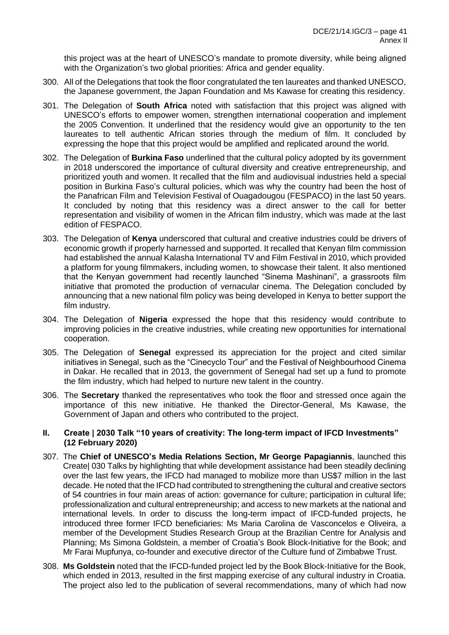this project was at the heart of UNESCO's mandate to promote diversity, while being aligned with the Organization's two global priorities: Africa and gender equality.

- 300. All of the Delegations that took the floor congratulated the ten laureates and thanked UNESCO, the Japanese government, the Japan Foundation and Ms Kawase for creating this residency.
- 301. The Delegation of **South Africa** noted with satisfaction that this project was aligned with UNESCO's efforts to empower women, strengthen international cooperation and implement the 2005 Convention. It underlined that the residency would give an opportunity to the ten laureates to tell authentic African stories through the medium of film. It concluded by expressing the hope that this project would be amplified and replicated around the world.
- 302. The Delegation of **Burkina Faso** underlined that the cultural policy adopted by its government in 2018 underscored the importance of cultural diversity and creative entrepreneurship, and prioritized youth and women. It recalled that the film and audiovisual industries held a special position in Burkina Faso's cultural policies, which was why the country had been the host of the Panafrican Film and Television Festival of Ouagadougou (FESPACO) in the last 50 years. It concluded by noting that this residency was a direct answer to the call for better representation and visibility of women in the African film industry, which was made at the last edition of FESPACO.
- 303. The Delegation of **Kenya** underscored that cultural and creative industries could be drivers of economic growth if properly harnessed and supported. It recalled that Kenyan film commission had established the annual Kalasha International TV and Film Festival in 2010, which provided a platform for young filmmakers, including women, to showcase their talent. It also mentioned that the Kenyan government had recently launched "Sinema Mashinani", a grassroots film initiative that promoted the production of vernacular cinema. The Delegation concluded by announcing that a new national film policy was being developed in Kenya to better support the film industry.
- 304. The Delegation of **Nigeria** expressed the hope that this residency would contribute to improving policies in the creative industries, while creating new opportunities for international cooperation.
- 305. The Delegation of **Senegal** expressed its appreciation for the project and cited similar initiatives in Senegal, such as the "Cinecyclo Tour" and the Festival of Neighbourhood Cinema in Dakar. He recalled that in 2013, the government of Senegal had set up a fund to promote the film industry, which had helped to nurture new talent in the country.
- 306. The **Secretary** thanked the representatives who took the floor and stressed once again the importance of this new initiative. He thanked the Director-General, Ms Kawase, the Government of Japan and others who contributed to the project.

### **II. Create | 2030 Talk "10 years of creativity: The long-term impact of IFCD Investments" (12 February 2020)**

- 307. The **Chief of UNESCO's Media Relations Section, Mr George Papagiannis**, launched this Create| 030 Talks by highlighting that while development assistance had been steadily declining over the last few years, the IFCD had managed to mobilize more than US\$7 million in the last decade. He noted that the IFCD had contributed to strengthening the cultural and creative sectors of 54 countries in four main areas of action: governance for culture; participation in cultural life; professionalization and cultural entrepreneurship; and access to new markets at the national and international levels. In order to discuss the long-term impact of IFCD-funded projects, he introduced three former IFCD beneficiaries: Ms Maria Carolina de Vasconcelos e Oliveira, a member of the Development Studies Research Group at the Brazilian Centre for Analysis and Planning; Ms Simona Goldstein, a member of Croatia's Book Block-Initiative for the Book; and Mr Farai Mupfunya, co-founder and executive director of the Culture fund of Zimbabwe Trust.
- 308. **Ms Goldstein** noted that the IFCD-funded project led by the Book Block-Initiative for the Book, which ended in 2013, resulted in the first mapping exercise of any cultural industry in Croatia. The project also led to the publication of several recommendations, many of which had now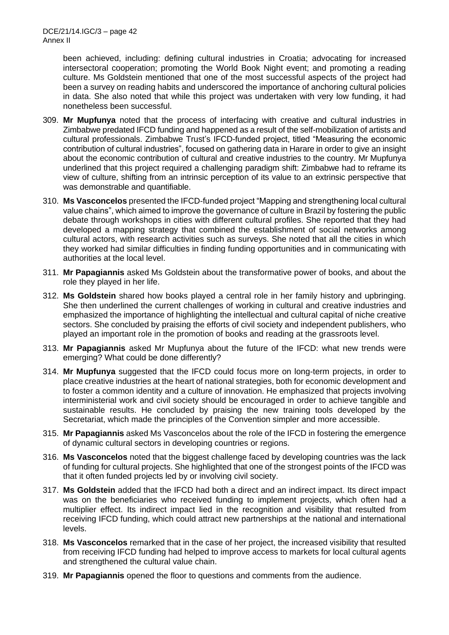been achieved, including: defining cultural industries in Croatia; advocating for increased intersectoral cooperation; promoting the World Book Night event; and promoting a reading culture. Ms Goldstein mentioned that one of the most successful aspects of the project had been a survey on reading habits and underscored the importance of anchoring cultural policies in data. She also noted that while this project was undertaken with very low funding, it had nonetheless been successful.

- 309. **Mr Mupfunya** noted that the process of interfacing with creative and cultural industries in Zimbabwe predated IFCD funding and happened as a result of the self-mobilization of artists and cultural professionals. Zimbabwe Trust's IFCD-funded project, titled "Measuring the economic contribution of cultural industries", focused on gathering data in Harare in order to give an insight about the economic contribution of cultural and creative industries to the country. Mr Mupfunya underlined that this project required a challenging paradigm shift: Zimbabwe had to reframe its view of culture, shifting from an intrinsic perception of its value to an extrinsic perspective that was demonstrable and quantifiable.
- 310. **Ms Vasconcelos** presented the IFCD-funded project "Mapping and strengthening local cultural value chains", which aimed to improve the governance of culture in Brazil by fostering the public debate through workshops in cities with different cultural profiles. She reported that they had developed a mapping strategy that combined the establishment of social networks among cultural actors, with research activities such as surveys. She noted that all the cities in which they worked had similar difficulties in finding funding opportunities and in communicating with authorities at the local level.
- 311. **Mr Papagiannis** asked Ms Goldstein about the transformative power of books, and about the role they played in her life.
- 312. **Ms Goldstein** shared how books played a central role in her family history and upbringing. She then underlined the current challenges of working in cultural and creative industries and emphasized the importance of highlighting the intellectual and cultural capital of niche creative sectors. She concluded by praising the efforts of civil society and independent publishers, who played an important role in the promotion of books and reading at the grassroots level.
- 313. **Mr Papagiannis** asked Mr Mupfunya about the future of the IFCD: what new trends were emerging? What could be done differently?
- 314. **Mr Mupfunya** suggested that the IFCD could focus more on long-term projects, in order to place creative industries at the heart of national strategies, both for economic development and to foster a common identity and a culture of innovation. He emphasized that projects involving interministerial work and civil society should be encouraged in order to achieve tangible and sustainable results. He concluded by praising the new training tools developed by the Secretariat, which made the principles of the Convention simpler and more accessible.
- 315. **Mr Papagiannis** asked Ms Vasconcelos about the role of the IFCD in fostering the emergence of dynamic cultural sectors in developing countries or regions.
- 316. **Ms Vasconcelos** noted that the biggest challenge faced by developing countries was the lack of funding for cultural projects. She highlighted that one of the strongest points of the IFCD was that it often funded projects led by or involving civil society.
- 317. **Ms Goldstein** added that the IFCD had both a direct and an indirect impact. Its direct impact was on the beneficiaries who received funding to implement projects, which often had a multiplier effect. Its indirect impact lied in the recognition and visibility that resulted from receiving IFCD funding, which could attract new partnerships at the national and international levels.
- 318. **Ms Vasconcelos** remarked that in the case of her project, the increased visibility that resulted from receiving IFCD funding had helped to improve access to markets for local cultural agents and strengthened the cultural value chain.
- 319. **Mr Papagiannis** opened the floor to questions and comments from the audience.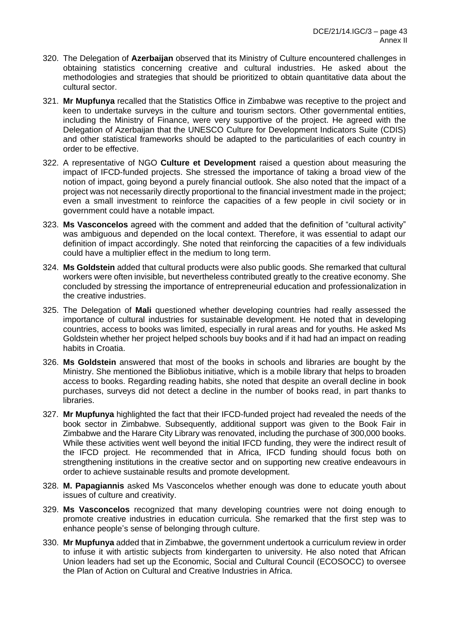- 320. The Delegation of **Azerbaijan** observed that its Ministry of Culture encountered challenges in obtaining statistics concerning creative and cultural industries. He asked about the methodologies and strategies that should be prioritized to obtain quantitative data about the cultural sector.
- 321. **Mr Mupfunya** recalled that the Statistics Office in Zimbabwe was receptive to the project and keen to undertake surveys in the culture and tourism sectors. Other governmental entities, including the Ministry of Finance, were very supportive of the project. He agreed with the Delegation of Azerbaijan that the UNESCO Culture for Development Indicators Suite (CDIS) and other statistical frameworks should be adapted to the particularities of each country in order to be effective.
- 322. A representative of NGO **Culture et Development** raised a question about measuring the impact of IFCD-funded projects. She stressed the importance of taking a broad view of the notion of impact, going beyond a purely financial outlook. She also noted that the impact of a project was not necessarily directly proportional to the financial investment made in the project; even a small investment to reinforce the capacities of a few people in civil society or in government could have a notable impact.
- 323. **Ms Vasconcelos** agreed with the comment and added that the definition of "cultural activity" was ambiguous and depended on the local context. Therefore, it was essential to adapt our definition of impact accordingly. She noted that reinforcing the capacities of a few individuals could have a multiplier effect in the medium to long term.
- 324. **Ms Goldstein** added that cultural products were also public goods. She remarked that cultural workers were often invisible, but nevertheless contributed greatly to the creative economy. She concluded by stressing the importance of entrepreneurial education and professionalization in the creative industries.
- 325. The Delegation of **Mali** questioned whether developing countries had really assessed the importance of cultural industries for sustainable development. He noted that in developing countries, access to books was limited, especially in rural areas and for youths. He asked Ms Goldstein whether her project helped schools buy books and if it had had an impact on reading habits in Croatia.
- 326. **Ms Goldstein** answered that most of the books in schools and libraries are bought by the Ministry. She mentioned the Bibliobus initiative, which is a mobile library that helps to broaden access to books. Regarding reading habits, she noted that despite an overall decline in book purchases, surveys did not detect a decline in the number of books read, in part thanks to libraries.
- 327. **Mr Mupfunya** highlighted the fact that their IFCD-funded project had revealed the needs of the book sector in Zimbabwe. Subsequently, additional support was given to the Book Fair in Zimbabwe and the Harare City Library was renovated, including the purchase of 300,000 books. While these activities went well beyond the initial IFCD funding, they were the indirect result of the IFCD project. He recommended that in Africa, IFCD funding should focus both on strengthening institutions in the creative sector and on supporting new creative endeavours in order to achieve sustainable results and promote development.
- 328. **M. Papagiannis** asked Ms Vasconcelos whether enough was done to educate youth about issues of culture and creativity.
- 329. **Ms Vasconcelos** recognized that many developing countries were not doing enough to promote creative industries in education curricula. She remarked that the first step was to enhance people's sense of belonging through culture.
- 330. **Mr Mupfunya** added that in Zimbabwe, the government undertook a curriculum review in order to infuse it with artistic subjects from kindergarten to university. He also noted that African Union leaders had set up the Economic, Social and Cultural Council (ECOSOCC) to oversee the Plan of Action on Cultural and Creative Industries in Africa.